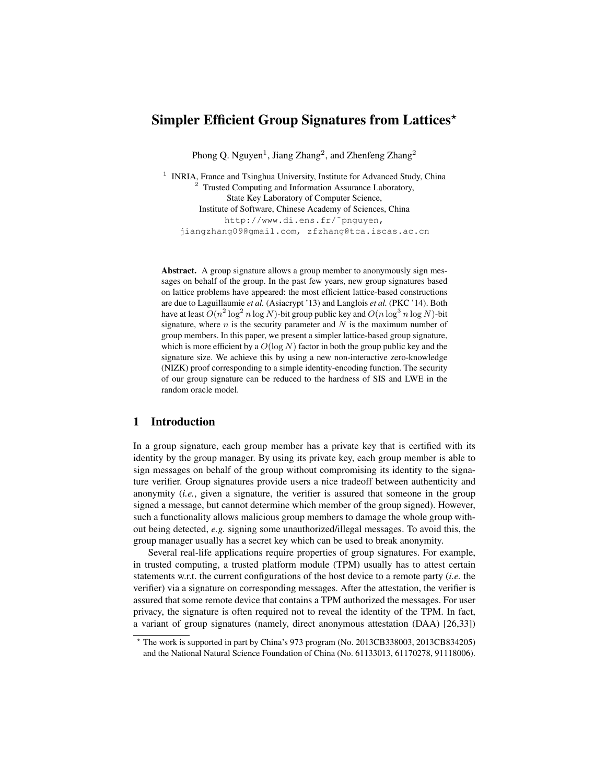# Simpler Efficient Group Signatures from Lattices<sup>\*</sup>

Phong Q. Nguyen<sup>1</sup>, Jiang Zhang<sup>2</sup>, and Zhenfeng Zhang<sup>2</sup>

<sup>1</sup> INRIA, France and Tsinghua University, Institute for Advanced Study, China <sup>2</sup> Trusted Computing and Information Assurance Laboratory, State Key Laboratory of Computer Science, Institute of Software, Chinese Academy of Sciences, China http://www.di.ens.fr/˜pnguyen, jiangzhang09@gmail.com, zfzhang@tca.iscas.ac.cn

Abstract. A group signature allows a group member to anonymously sign messages on behalf of the group. In the past few years, new group signatures based on lattice problems have appeared: the most efficient lattice-based constructions are due to Laguillaumie *et al.* (Asiacrypt '13) and Langlois *et al.* (PKC '14). Both have at least  $O(n^2 \log^2 n \log N)$ -bit group public key and  $O(n \log^3 n \log N)$ -bit signature, where  $n$  is the security parameter and  $N$  is the maximum number of group members. In this paper, we present a simpler lattice-based group signature, which is more efficient by a  $O(\log N)$  factor in both the group public key and the signature size. We achieve this by using a new non-interactive zero-knowledge (NIZK) proof corresponding to a simple identity-encoding function. The security of our group signature can be reduced to the hardness of SIS and LWE in the random oracle model.

# 1 Introduction

In a group signature, each group member has a private key that is certified with its identity by the group manager. By using its private key, each group member is able to sign messages on behalf of the group without compromising its identity to the signature verifier. Group signatures provide users a nice tradeoff between authenticity and anonymity (*i.e.*, given a signature, the verifier is assured that someone in the group signed a message, but cannot determine which member of the group signed). However, such a functionality allows malicious group members to damage the whole group without being detected, *e.g.* signing some unauthorized/illegal messages. To avoid this, the group manager usually has a secret key which can be used to break anonymity.

Several real-life applications require properties of group signatures. For example, in trusted computing, a trusted platform module (TPM) usually has to attest certain statements w.r.t. the current configurations of the host device to a remote party (*i.e.* the verifier) via a signature on corresponding messages. After the attestation, the verifier is assured that some remote device that contains a TPM authorized the messages. For user privacy, the signature is often required not to reveal the identity of the TPM. In fact, a variant of group signatures (namely, direct anonymous attestation (DAA) [\[26](#page-22-0)[,33\]](#page-22-1))

<sup>?</sup> The work is supported in part by China's 973 program (No. 2013CB338003, 2013CB834205) and the National Natural Science Foundation of China (No. 61133013, 61170278, 91118006).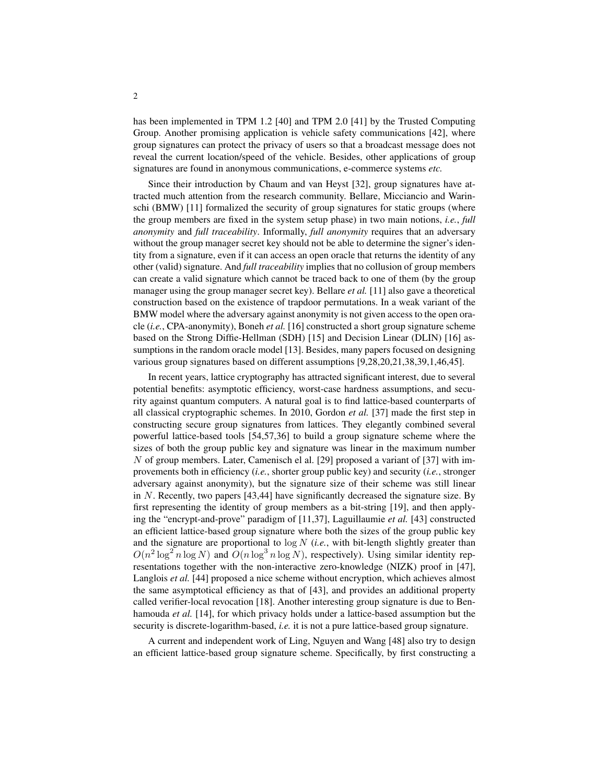has been implemented in TPM 1.2 [\[40\]](#page-22-2) and TPM 2.0 [\[41\]](#page-22-3) by the Trusted Computing Group. Another promising application is vehicle safety communications [\[42\]](#page-22-4), where group signatures can protect the privacy of users so that a broadcast message does not reveal the current location/speed of the vehicle. Besides, other applications of group signatures are found in anonymous communications, e-commerce systems *etc.*

Since their introduction by Chaum and van Heyst [\[32\]](#page-22-5), group signatures have attracted much attention from the research community. Bellare, Micciancio and Warinschi (BMW) [\[11\]](#page-21-0) formalized the security of group signatures for static groups (where the group members are fixed in the system setup phase) in two main notions, *i.e.*, *full anonymity* and *full traceability*. Informally, *full anonymity* requires that an adversary without the group manager secret key should not be able to determine the signer's identity from a signature, even if it can access an open oracle that returns the identity of any other (valid) signature. And *full traceability* implies that no collusion of group members can create a valid signature which cannot be traced back to one of them (by the group manager using the group manager secret key). Bellare *et al.* [\[11\]](#page-21-0) also gave a theoretical construction based on the existence of trapdoor permutations. In a weak variant of the BMW model where the adversary against anonymity is not given access to the open oracle (*i.e.*, CPA-anonymity), Boneh *et al.* [\[16\]](#page-21-1) constructed a short group signature scheme based on the Strong Diffie-Hellman (SDH) [\[15\]](#page-21-2) and Decision Linear (DLIN) [\[16\]](#page-21-1) assumptions in the random oracle model [\[13\]](#page-21-3). Besides, many papers focused on designing various group signatures based on different assumptions [\[9,](#page-21-4)[28,](#page-22-6)[20,](#page-21-5)[21,](#page-21-6)[38](#page-22-7)[,39](#page-22-8)[,1](#page-20-0)[,46](#page-23-0)[,45\]](#page-23-1).

In recent years, lattice cryptography has attracted significant interest, due to several potential benefits: asymptotic efficiency, worst-case hardness assumptions, and security against quantum computers. A natural goal is to find lattice-based counterparts of all classical cryptographic schemes. In 2010, Gordon *et al.* [\[37\]](#page-22-9) made the first step in constructing secure group signatures from lattices. They elegantly combined several powerful lattice-based tools [\[54](#page-23-2)[,57](#page-23-3)[,36\]](#page-22-10) to build a group signature scheme where the sizes of both the group public key and signature was linear in the maximum number N of group members. Later, Camenisch el al. [\[29\]](#page-22-11) proposed a variant of [\[37\]](#page-22-9) with improvements both in efficiency (*i.e.*, shorter group public key) and security (*i.e.*, stronger adversary against anonymity), but the signature size of their scheme was still linear in N. Recently, two papers [\[43,](#page-22-12)[44\]](#page-23-4) have significantly decreased the signature size. By first representing the identity of group members as a bit-string [\[19\]](#page-21-7), and then applying the "encrypt-and-prove" paradigm of [\[11,](#page-21-0)[37\]](#page-22-9), Laguillaumie *et al.* [\[43\]](#page-22-12) constructed an efficient lattice-based group signature where both the sizes of the group public key and the signature are proportional to log N (*i.e.*, with bit-length slightly greater than  $O(n^2 \log^2 n \log N)$  and  $O(n \log^3 n \log N)$ , respectively). Using similar identity representations together with the non-interactive zero-knowledge (NIZK) proof in [\[47\]](#page-23-5), Langlois *et al.* [\[44\]](#page-23-4) proposed a nice scheme without encryption, which achieves almost the same asymptotical efficiency as that of [\[43\]](#page-22-12), and provides an additional property called verifier-local revocation [\[18\]](#page-21-8). Another interesting group signature is due to Benhamouda *et al.* [\[14\]](#page-21-9), for which privacy holds under a lattice-based assumption but the security is discrete-logarithm-based, *i.e.* it is not a pure lattice-based group signature.

A current and independent work of Ling, Nguyen and Wang [\[48\]](#page-23-6) also try to design an efficient lattice-based group signature scheme. Specifically, by first constructing a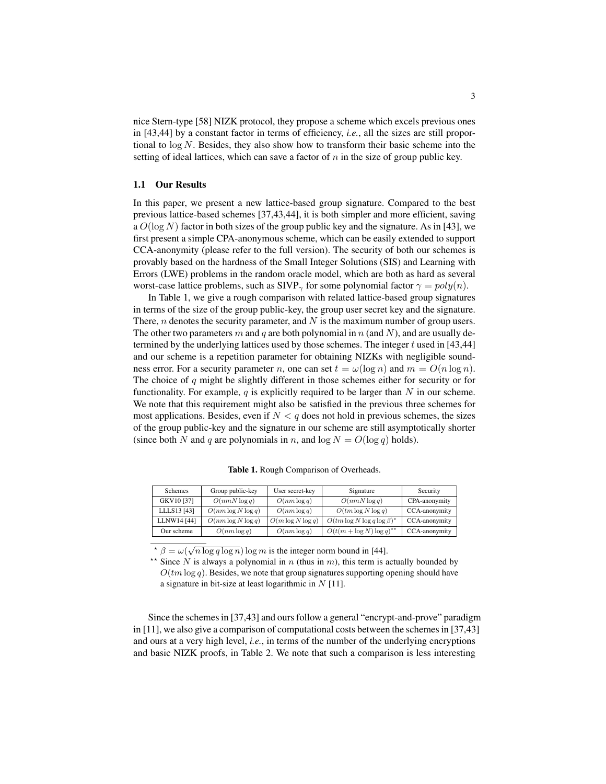nice Stern-type [\[58\]](#page-23-7) NIZK protocol, they propose a scheme which excels previous ones in [\[43,](#page-22-12)[44\]](#page-23-4) by a constant factor in terms of efficiency, *i.e.*, all the sizes are still proportional to  $\log N$ . Besides, they also show how to transform their basic scheme into the setting of ideal lattices, which can save a factor of  $n$  in the size of group public key.

## 1.1 Our Results

In this paper, we present a new lattice-based group signature. Compared to the best previous lattice-based schemes [\[37](#page-22-9)[,43](#page-22-12)[,44\]](#page-23-4), it is both simpler and more efficient, saving a  $O(\log N)$  factor in both sizes of the group public key and the signature. As in [\[43\]](#page-22-12), we first present a simple CPA-anonymous scheme, which can be easily extended to support CCA-anonymity (please refer to the full version). The security of both our schemes is provably based on the hardness of the Small Integer Solutions (SIS) and Learning with Errors (LWE) problems in the random oracle model, which are both as hard as several worst-case lattice problems, such as SIVP<sub> $\gamma$ </sub> for some polynomial factor  $\gamma = poly(n)$ .

In Table [1,](#page-2-0) we give a rough comparison with related lattice-based group signatures in terms of the size of the group public-key, the group user secret key and the signature. There,  $n$  denotes the security parameter, and  $N$  is the maximum number of group users. The other two parameters m and q are both polynomial in n (and N), and are usually determined by the underlying lattices used by those schemes. The integer  $t$  used in [\[43](#page-22-12)[,44\]](#page-23-4) and our scheme is a repetition parameter for obtaining NIZKs with negligible soundness error. For a security parameter n, one can set  $t = \omega(\log n)$  and  $m = O(n \log n)$ . The choice of  $q$  might be slightly different in those schemes either for security or for functionality. For example,  $q$  is explicitly required to be larger than  $N$  in our scheme. We note that this requirement might also be satisfied in the previous three schemes for most applications. Besides, even if  $N < q$  does not hold in previous schemes, the sizes of the group public-key and the signature in our scheme are still asymptotically shorter (since both N and q are polynomials in n, and  $\log N = O(\log q)$  holds).

| Schemes     | Group public-key      | User secret-key      | Signature                          | Security      |
|-------------|-----------------------|----------------------|------------------------------------|---------------|
| GKV10 [37]  | $O(nmN \log q)$       | $O(nm \log q)$       | $O(nmN \log q)$                    | CPA-anonymity |
| LLLS13 [43] | $O(nm \log N \log q)$ | $O(nm \log q)$       | $O(tm \log N \log q)$              | CCA-anonymity |
| LLNW14 [44] | $O(nm \log N \log q)$ | $O(m \log N \log q)$ | $O(tm \log N \log q \log \beta)^*$ | CCA-anonymity |
| Our scheme  | $O(nm \log q)$        | $O(nm \log q)$       | $O(t(m + \log N) \log q)^{**}$     | CCA-anonymity |

<span id="page-2-0"></span>Table 1. Rough Comparison of Overheads.

<span id="page-2-1"></span> $\sqrt{\frac{\pi}{\beta}} = \omega(\sqrt{n \log q \log n}) \log m$  is the integer norm bound in [\[44\]](#page-23-4).

<span id="page-2-2"></span>Since N is always a polynomial in n (thus in m), this term is actually bounded by  $O(tm \log q)$ . Besides, we note that group signatures supporting opening should have a signature in bit-size at least logarithmic in  $N$  [\[11\]](#page-21-0).

Since the schemes in [\[37](#page-22-9)[,43\]](#page-22-12) and ours follow a general "encrypt-and-prove" paradigm in [\[11\]](#page-21-0), we also give a comparison of computational costs between the schemes in [\[37](#page-22-9)[,43\]](#page-22-12) and ours at a very high level, *i.e.*, in terms of the number of the underlying encryptions and basic NIZK proofs, in Table [2.](#page-3-0) We note that such a comparison is less interesting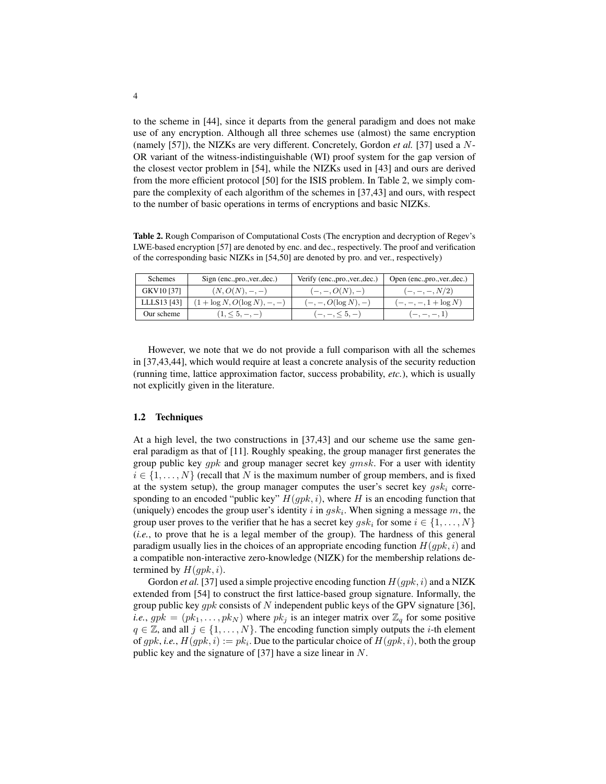to the scheme in [\[44\]](#page-23-4), since it departs from the general paradigm and does not make use of any encryption. Although all three schemes use (almost) the same encryption (namely [\[57\]](#page-23-3)), the NIZKs are very different. Concretely, Gordon *et al.* [\[37\]](#page-22-9) used a N-OR variant of the witness-indistinguishable (WI) proof system for the gap version of the closest vector problem in [\[54\]](#page-23-2), while the NIZKs used in [\[43\]](#page-22-12) and ours are derived from the more efficient protocol [\[50\]](#page-23-8) for the ISIS problem. In Table [2,](#page-3-0) we simply compare the complexity of each algorithm of the schemes in [\[37,](#page-22-9)[43\]](#page-22-12) and ours, with respect to the number of basic operations in terms of encryptions and basic NIZKs.

<span id="page-3-0"></span>Table 2. Rough Comparison of Computational Costs (The encryption and decryption of Regev's LWE-based encryption [\[57\]](#page-23-3) are denoted by enc. and dec., respectively. The proof and verification of the corresponding basic NIZKs in [\[54](#page-23-2)[,50\]](#page-23-8) are denoted by pro. and ver., respectively)

| <b>Schemes</b> | Sign (enc., pro., ver., dec.)   | Verify (enc., pro., ver., dec.) | Open (enc., pro., ver., dec.) |
|----------------|---------------------------------|---------------------------------|-------------------------------|
| GKV10 [37]     | $(N, O(N), -, -)$               | $(-,-,O(N),-)$                  | $(-,-,-,N/2)$                 |
| LLLS13 [43]    | $(1 + \log N, O(\log N), -, -)$ | $(-, -, O(\log N), -)$          | $(-,-,-,1+\log N)$            |
| Our scheme     | $(1, \le 5, -, -)$              | $(-,-,\leq 5,-)$                | $(-,-,-,-,1)$                 |

However, we note that we do not provide a full comparison with all the schemes in [\[37,](#page-22-9)[43,](#page-22-12)[44\]](#page-23-4), which would require at least a concrete analysis of the security reduction (running time, lattice approximation factor, success probability, *etc.*), which is usually not explicitly given in the literature.

## 1.2 Techniques

At a high level, the two constructions in [\[37](#page-22-9)[,43\]](#page-22-12) and our scheme use the same general paradigm as that of [\[11\]](#page-21-0). Roughly speaking, the group manager first generates the group public key  $qpk$  and group manager secret key  $qmsk$ . For a user with identity  $i \in \{1, \ldots, N\}$  (recall that N is the maximum number of group members, and is fixed at the system setup), the group manager computes the user's secret key  $qsk_i$  corresponding to an encoded "public key"  $H(qpk, i)$ , where H is an encoding function that (uniquely) encodes the group user's identity i in  $gsk_i$ . When signing a message m, the group user proves to the verifier that he has a secret key  $qsk_i$  for some  $i \in \{1, \ldots, N\}$ (*i.e.*, to prove that he is a legal member of the group). The hardness of this general paradigm usually lies in the choices of an appropriate encoding function  $H(qpk, i)$  and a compatible non-interactive zero-knowledge (NIZK) for the membership relations determined by  $H(gpk, i)$ .

Gordon *et al.* [\[37\]](#page-22-9) used a simple projective encoding function  $H(qpk, i)$  and a NIZK extended from [\[54\]](#page-23-2) to construct the first lattice-based group signature. Informally, the group public key  $gpk$  consists of N independent public keys of the GPV signature [\[36\]](#page-22-10), *i.e.*,  $gpk = (pk_1, \ldots, pk_N)$  where  $pk_j$  is an integer matrix over  $\mathbb{Z}_q$  for some positive  $q \in \mathbb{Z}$ , and all  $j \in \{1, ..., N\}$ . The encoding function simply outputs the *i*-th element of  $gpk$ , *i.e.*,  $H(gpk, i) := pk_i$ . Due to the particular choice of  $H(gpk, i)$ , both the group public key and the signature of [\[37\]](#page-22-9) have a size linear in N.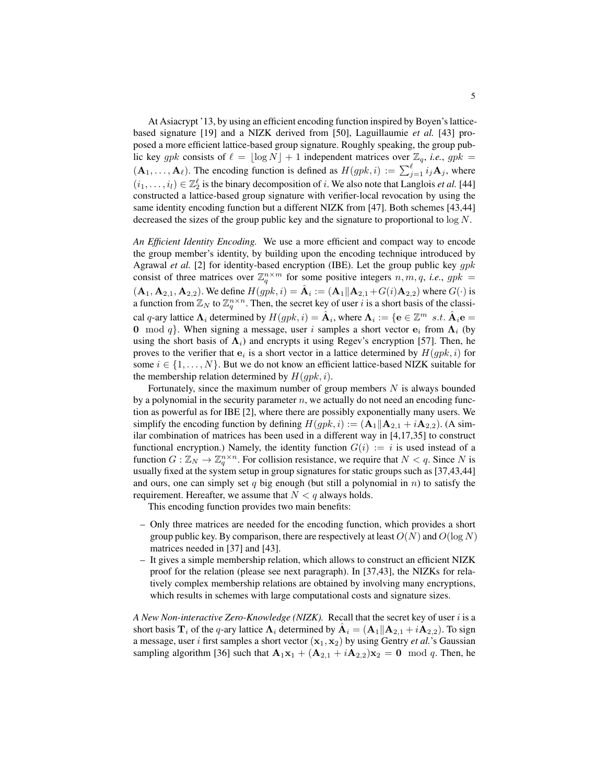At Asiacrypt '13, by using an efficient encoding function inspired by Boyen's latticebased signature [\[19\]](#page-21-7) and a NIZK derived from [\[50\]](#page-23-8), Laguillaumie *et al.* [\[43\]](#page-22-12) proposed a more efficient lattice-based group signature. Roughly speaking, the group public key gpk consists of  $\ell = \lfloor \log N \rfloor + 1$  independent matrices over  $\mathbb{Z}_q$ , *i.e.*, gpk =  $(A_1, \ldots, A_\ell)$ . The encoding function is defined as  $H(gpk, i) := \sum_{j=1}^{\ell} i_j A_j$ , where  $(i_1, \ldots, i_l) \in \mathbb{Z}_2^{\ell}$  is the binary decomposition of i. We also note that Langlois *et al.* [\[44\]](#page-23-4) constructed a lattice-based group signature with verifier-local revocation by using the same identity encoding function but a different NIZK from [\[47\]](#page-23-5). Both schemes [\[43](#page-22-12)[,44\]](#page-23-4) decreased the sizes of the group public key and the signature to proportional to log N.

*An Efficient Identity Encoding.* We use a more efficient and compact way to encode the group member's identity, by building upon the encoding technique introduced by Agrawal *et al.* [\[2\]](#page-20-1) for identity-based encryption (IBE). Let the group public key gpk consist of three matrices over  $\mathbb{Z}_q^{n \times m}$  for some positive integers  $n, m, q$ , *i.e.*,  $gpk =$  $(A_1, A_{2,1}, A_{2,2})$ . We define  $H(gpk, i) = \hat{A}_i := (A_1||A_{2,1} + G(i)A_{2,2})$  where  $G(\cdot)$  is a function from  $\mathbb{Z}_N$  to  $\mathbb{Z}_q^{n \times n}$ . Then, the secret key of user i is a short basis of the classical q-ary lattice  $\Lambda_i$  determined by  $H(gpk, i) = \hat{A}_i$ , where  $\Lambda_i := \{ e \in \mathbb{Z}^m \text{ s.t. } \hat{A}_i e =$ 0 mod q. When signing a message, user i samples a short vector  $e_i$  from  $\Lambda_i$  (by using the short basis of  $\Lambda_i$ ) and encrypts it using Regev's encryption [\[57\]](#page-23-3). Then, he proves to the verifier that  $e_i$  is a short vector in a lattice determined by  $H(gpk, i)$  for some  $i \in \{1, \ldots, N\}$ . But we do not know an efficient lattice-based NIZK suitable for the membership relation determined by  $H(gpk, i)$ .

Fortunately, since the maximum number of group members  $N$  is always bounded by a polynomial in the security parameter  $n$ , we actually do not need an encoding function as powerful as for IBE [\[2\]](#page-20-1), where there are possibly exponentially many users. We simplify the encoding function by defining  $H(gpk, i) := (A_1||A_{2,1} + iA_{2,2})$ . (A similar combination of matrices has been used in a different way in [\[4,](#page-20-2)[17](#page-21-10)[,35\]](#page-22-13) to construct functional encryption.) Namely, the identity function  $G(i) := i$  is used instead of a function  $G : \mathbb{Z}_N \to \mathbb{Z}_q^{n \times n}$ . For collision resistance, we require that  $N < q$ . Since N is usually fixed at the system setup in group signatures for static groups such as [\[37](#page-22-9)[,43](#page-22-12)[,44\]](#page-23-4) and ours, one can simply set q big enough (but still a polynomial in  $n$ ) to satisfy the requirement. Hereafter, we assume that  $N < q$  always holds.

This encoding function provides two main benefits:

- Only three matrices are needed for the encoding function, which provides a short group public key. By comparison, there are respectively at least  $O(N)$  and  $O(\log N)$ matrices needed in [\[37\]](#page-22-9) and [\[43\]](#page-22-12).
- It gives a simple membership relation, which allows to construct an efficient NIZK proof for the relation (please see next paragraph). In [\[37](#page-22-9)[,43\]](#page-22-12), the NIZKs for relatively complex membership relations are obtained by involving many encryptions, which results in schemes with large computational costs and signature sizes.

*A New Non-interactive Zero-Knowledge (NIZK).* Recall that the secret key of user i is a short basis  $\mathbf{T}_i$  of the q-ary lattice  $\mathbf{\Lambda}_i$  determined by  $\hat{\mathbf{A}}_i = (\mathbf{A}_1 || \mathbf{A}_{2,1} + i \mathbf{A}_{2,2})$ . To sign a message, user i first samples a short vector  $(\mathbf{x}_1, \mathbf{x}_2)$  by using Gentry *et al.*'s Gaussian sampling algorithm [\[36\]](#page-22-10) such that  $\mathbf{A}_1\mathbf{x}_1 + (\mathbf{A}_{2,1} + i\mathbf{A}_{2,2})\mathbf{x}_2 = 0 \mod q$ . Then, he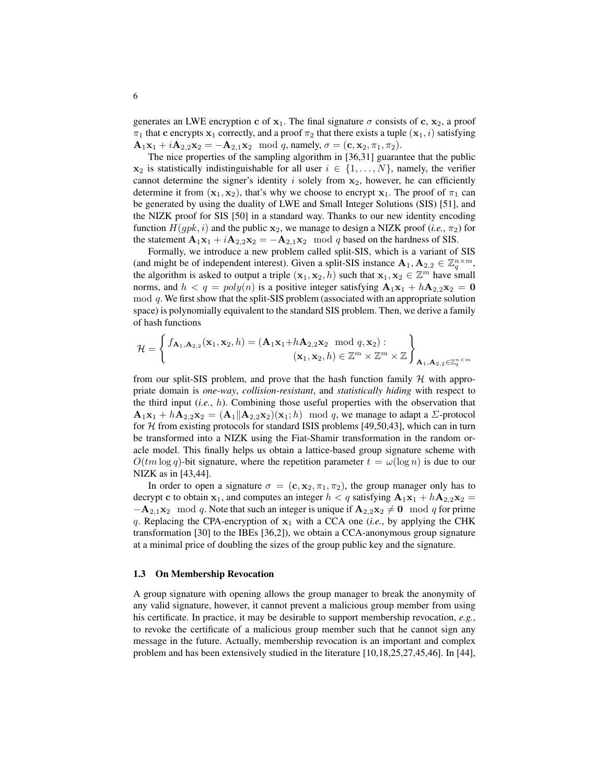generates an LWE encryption c of  $x_1$ . The final signature  $\sigma$  consists of c,  $x_2$ , a proof  $\pi_1$  that c encrypts  $x_1$  correctly, and a proof  $\pi_2$  that there exists a tuple  $(x_1, i)$  satisfying  $\mathbf{A}_1 \mathbf{x}_1 + i \mathbf{A}_{2,2} \mathbf{x}_2 = -\mathbf{A}_{2,1} \mathbf{x}_2 \mod q$ , namely,  $\sigma = (\mathbf{c}, \mathbf{x}_2, \pi_1, \pi_2)$ .

The nice properties of the sampling algorithm in [\[36,](#page-22-10)[31\]](#page-22-14) guarantee that the public  $x_2$  is statistically indistinguishable for all user  $i \in \{1, ..., N\}$ , namely, the verifier cannot determine the signer's identity  $i$  solely from  $x_2$ , however, he can efficiently determine it from  $(x_1, x_2)$ , that's why we choose to encrypt  $x_1$ . The proof of  $\pi_1$  can be generated by using the duality of LWE and Small Integer Solutions (SIS) [\[51\]](#page-23-9), and the NIZK proof for SIS [\[50\]](#page-23-8) in a standard way. Thanks to our new identity encoding function  $H(gpk, i)$  and the public  $x_2$ , we manage to design a NIZK proof (*i.e.*,  $\pi_2$ ) for the statement  $\mathbf{A}_1 \mathbf{x}_1 + i \mathbf{A}_{2,2} \mathbf{x}_2 = -\mathbf{A}_{2,1} \mathbf{x}_2 \mod q$  based on the hardness of SIS.

Formally, we introduce a new problem called split-SIS, which is a variant of SIS (and might be of independent interest). Given a split-SIS instance  $\mathbf{A}_1, \mathbf{A}_{2,2} \in \mathbb{Z}_q^{n \times m}$ , the algorithm is asked to output a triple  $(x_1, x_2, h)$  such that  $x_1, x_2 \in \mathbb{Z}^m$  have small norms, and  $h < q = poly(n)$  is a positive integer satisfying  $A_1x_1 + hA_2x_2 = 0$ mod q. We first show that the split-SIS problem (associated with an appropriate solution space) is polynomially equivalent to the standard SIS problem. Then, we derive a family of hash functions

$$
\mathcal{H} = \left\{ \begin{aligned} f_{\mathbf{A}_1, \mathbf{A}_{2,2}}(\mathbf{x}_1, \mathbf{x}_2, h) &= (\mathbf{A}_1 \mathbf{x}_1 + h \mathbf{A}_{2,2} \mathbf{x}_2 \mod q, \mathbf{x}_2) : \\ (\mathbf{x}_1, \mathbf{x}_2, h) &\in \mathbb{Z}^m \times \mathbb{Z}^m \times \mathbb{Z} \end{aligned} \right\}_{\mathbf{A}_1, \mathbf{A}_{2,2} \in \mathbb{Z}_q^{n \times m}}
$$

from our split-SIS problem, and prove that the hash function family  $H$  with appropriate domain is *one-way*, *collision-resistant*, and *statistically hiding* with respect to the third input (*i.e.*, h). Combining those useful properties with the observation that  $\mathbf{A}_1\mathbf{x}_1 + h\mathbf{A}_{2,2}\mathbf{x}_2 = (\mathbf{A}_1||\mathbf{A}_{2,2}\mathbf{x}_2)(\mathbf{x}_1; h) \mod q$ , we manage to adapt a  $\Sigma$ -protocol for  $H$  from existing protocols for standard ISIS problems [\[49,](#page-23-10)[50,](#page-23-8)[43\]](#page-22-12), which can in turn be transformed into a NIZK using the Fiat-Shamir transformation in the random oracle model. This finally helps us obtain a lattice-based group signature scheme with  $O(tm \log q)$ -bit signature, where the repetition parameter  $t = \omega(\log n)$  is due to our NIZK as in [\[43](#page-22-12)[,44\]](#page-23-4).

In order to open a signature  $\sigma = (\mathbf{c}, \mathbf{x}_2, \pi_1, \pi_2)$ , the group manager only has to decrypt c to obtain  $x_1$ , and computes an integer  $h < q$  satisfying  $A_1x_1 + hA_2x_2 =$  $-\mathbf{A}_{2,1}\mathbf{x}_2 \mod q$ . Note that such an integer is unique if  $\mathbf{A}_{2,2}\mathbf{x}_2 \neq \mathbf{0} \mod q$  for prime q. Replacing the CPA-encryption of  $x_1$  with a CCA one (*i.e.*, by applying the CHK transformation [\[30\]](#page-22-15) to the IBEs [\[36,](#page-22-10)[2\]](#page-20-1)), we obtain a CCA-anonymous group signature at a minimal price of doubling the sizes of the group public key and the signature.

#### 1.3 On Membership Revocation

A group signature with opening allows the group manager to break the anonymity of any valid signature, however, it cannot prevent a malicious group member from using his certificate. In practice, it may be desirable to support membership revocation, *e.g.*, to revoke the certificate of a malicious group member such that he cannot sign any message in the future. Actually, membership revocation is an important and complex problem and has been extensively studied in the literature [\[10,](#page-21-11)[18,](#page-21-8)[25](#page-22-16)[,27](#page-22-17)[,45](#page-23-1)[,46\]](#page-23-0). In [\[44\]](#page-23-4),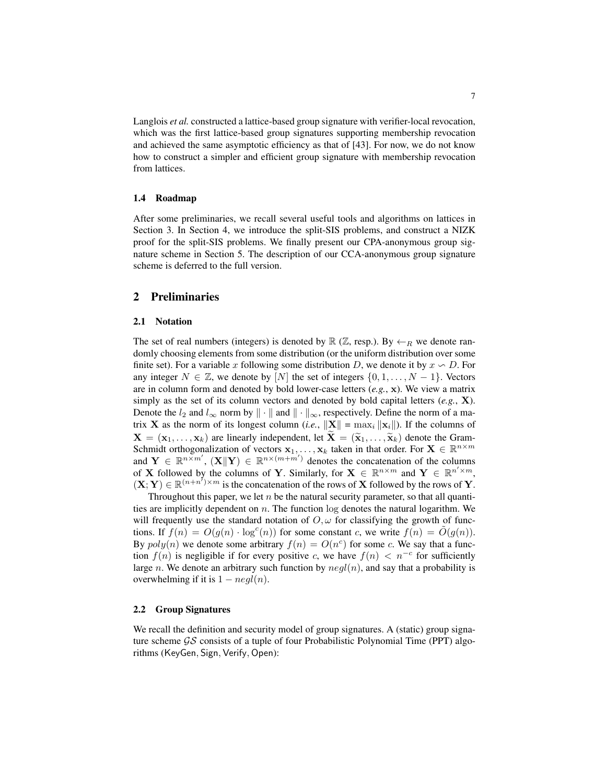Langlois *et al.* constructed a lattice-based group signature with verifier-local revocation, which was the first lattice-based group signatures supporting membership revocation and achieved the same asymptotic efficiency as that of [\[43\]](#page-22-12). For now, we do not know how to construct a simpler and efficient group signature with membership revocation from lattices.

#### 1.4 Roadmap

After some preliminaries, we recall several useful tools and algorithms on lattices in Section [3.](#page-8-0) In Section [4,](#page-11-0) we introduce the split-SIS problems, and construct a NIZK proof for the split-SIS problems. We finally present our CPA-anonymous group signature scheme in Section [5.](#page-15-0) The description of our CCA-anonymous group signature scheme is deferred to the full version.

# 2 Preliminaries

## 2.1 Notation

The set of real numbers (integers) is denoted by  $\mathbb{R}$  ( $\mathbb{Z}$ , resp.). By  $\leftarrow_R$  we denote randomly choosing elements from some distribution (or the uniform distribution over some finite set). For a variable x following some distribution D, we denote it by  $x \backsim D$ . For any integer  $N \in \mathbb{Z}$ , we denote by  $[N]$  the set of integers  $\{0, 1, \ldots, N-1\}$ . Vectors are in column form and denoted by bold lower-case letters (*e.g.*, x). We view a matrix simply as the set of its column vectors and denoted by bold capital letters (*e.g.*, X). Denote the  $l_2$  and  $l_{\infty}$  norm by  $\|\cdot\|$  and  $\|\cdot\|_{\infty}$ , respectively. Define the norm of a matrix **X** as the norm of its longest column (*i.e.*,  $\|\mathbf{X}\| = \max_i \|\mathbf{x}_i\|$ ). If the columns of  $X = (\mathbf{x}_1, \dots, \mathbf{x}_k)$  are linearly independent, let  $\mathbf{X} = (\widetilde{\mathbf{x}}_1, \dots, \widetilde{\mathbf{x}}_k)$  denote the Gram-Schmidt orthogonalization of vectors  $x_1, \ldots, x_k$  taken in that order. For  $X \in \mathbb{R}^{n \times m}$ and  $\mathbf{Y} \in \mathbb{R}^{n \times m'}$ ,  $(\mathbf{X} \|\mathbf{Y}) \in \mathbb{R}^{n \times (m+m')}$  denotes the concatenation of the columns of X followed by the columns of Y. Similarly, for  $X \in \mathbb{R}^{n \times m}$  and  $Y \in \mathbb{R}^{n' \times m}$ ,  $(X; Y) \in \mathbb{R}^{(n+n^{\mathsf{Z}})\times m}$  is the concatenation of the rows of X followed by the rows of Y.

Throughout this paper, we let  $n$  be the natural security parameter, so that all quantities are implicitly dependent on  $n$ . The function log denotes the natural logarithm. We will frequently use the standard notation of  $O, \omega$  for classifying the growth of functions. If  $f(n) = O(g(n) \cdot \log^c(n))$  for some constant c, we write  $f(n) = \tilde{O}(g(n))$ . By  $poly(n)$  we denote some arbitrary  $f(n) = O(n^c)$  for some c. We say that a function  $f(n)$  is negligible if for every positive c, we have  $f(n) < n^{-c}$  for sufficiently large n. We denote an arbitrary such function by  $neq(n)$ , and say that a probability is overwhelming if it is  $1 - negl(n)$ .

## 2.2 Group Signatures

We recall the definition and security model of group signatures. A (static) group signature scheme  $\mathcal{G}\mathcal{S}$  consists of a tuple of four Probabilistic Polynomial Time (PPT) algorithms (KeyGen, Sign, Verify, Open):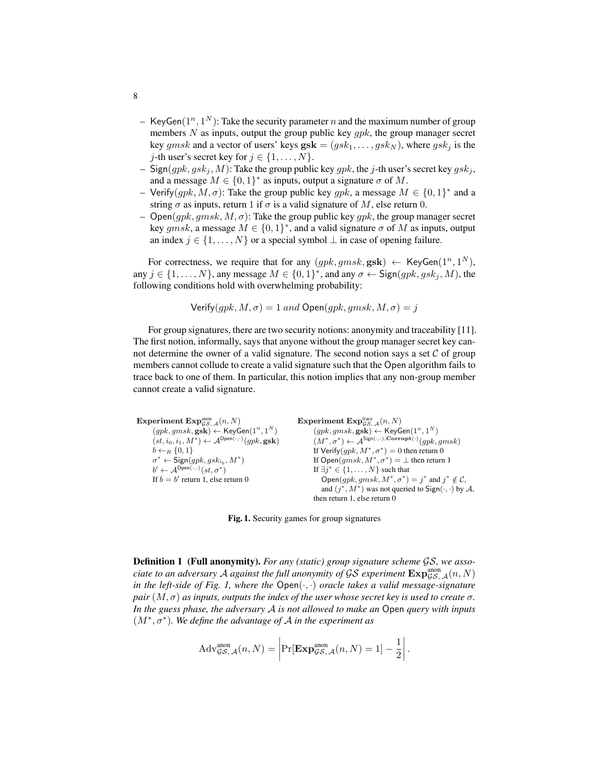- KeyGen $(1^n, 1^N)$ : Take the security parameter n and the maximum number of group members  $N$  as inputs, output the group public key  $gpk$ , the group manager secret key gmsk and a vector of users' keys  $\mathbf{gsk} = (gsk_1, \ldots, gsk_N)$ , where  $gsk_j$  is the *j*-th user's secret key for  $j \in \{1, ..., N\}$ .
- Sign( $gpk, gsk_j, M$ ): Take the group public key  $gpk$ , the j-th user's secret key  $gsk_j$ , and a message  $M \in \{0,1\}^*$  as inputs, output a signature  $\sigma$  of M.
- Verify(gpk, M,  $\sigma$ ): Take the group public key gpk, a message  $M \in \{0,1\}^*$  and a string  $\sigma$  as inputs, return 1 if  $\sigma$  is a valid signature of M, else return 0.
- $Open(qpk, qmsk, M, \sigma)$ : Take the group public key qpk, the group manager secret key gmsk, a message  $M \in \{0,1\}^*$ , and a valid signature  $\sigma$  of M as inputs, output an index  $j \in \{1, \ldots, N\}$  or a special symbol  $\perp$  in case of opening failure.

For correctness, we require that for any  $(gpk, gmsk, \textbf{gsk}) \leftarrow \text{KeyGen}(1^n, 1^N)$ , any  $j \in \{1, ..., N\}$ , any message  $M \in \{0, 1\}^*$ , and any  $\sigma \leftarrow$  Sign $(gpk, gsk_j, M)$ , the following conditions hold with overwhelming probability:

```
Verify(gpk, M, \sigma) = 1 and Open(gpk, gmsk, M, \sigma) = j
```
For group signatures, there are two security notions: anonymity and traceability [\[11\]](#page-21-0). The first notion, informally, says that anyone without the group manager secret key cannot determine the owner of a valid signature. The second notion says a set  $C$  of group members cannot collude to create a valid signature such that the Open algorithm fails to trace back to one of them. In particular, this notion implies that any non-group member cannot create a valid signature.

```
Experiment \mathrm{Exp}_{\mathcal{GS},\,\mathcal{A}}^{\mathrm{anon}}(n,N)(gpk, gmsk, \textbf{gsk}) \leftarrow \textsf{KeyGen}(1^n, 1^N)(st, i_0, i_1, M^*) \leftarrow \mathcal{A}^{\mathsf{Open}(\cdot, \cdot)}(gpk, \mathbf{gsk})b \leftarrow_R \{0, 1\}\sigma^* \leftarrow \mathsf{Sign}(gpk, gsk_{i_b}, M^*)b' \leftarrow \mathcal{A}^{\mathsf{Open}(\cdot, \cdot)}(st, \sigma^*)If b = b' return 1, else return 0
                                                                                   Experiment \mathrm{Exp}_{\mathcal{GS},\,\mathcal{A}}^{ \mathrm{trace}}(n,N)(gpk, gmsk, \textbf{gsk}) \leftarrow \textsf{KeyGen}(1^n, 1^N)(M^*, \sigma^*) \leftarrow \mathcal{A}^{\mathsf{Sign}(\cdot, \cdot), \mathbf{Corrupt}(\cdot)}(gpk, gmsk)If Verify(gpk, M^*, \sigma^*) = 0 then return 0
                                                                                            If Open(gmsk, M^*, \sigma^*) = \bot then return 1
                                                                                            If \exists j^* \in \{1, \ldots, N\} such that
                                                                                                Open(gpk, gmsk, M^*, \sigma^*) = j^* and j^* \notin C,
                                                                                                and (j^*, M^*) was not queried to Sign(\cdot, \cdot) by A,
                                                                                           then return 1, else return 0
```
<span id="page-7-0"></span>Fig. 1. Security games for group signatures

Definition 1 (Full anonymity). *For any (static) group signature scheme* GS*, we associate to an adversary A against the full anonymity of GS experiment*  $\text{Exp}^{\text{anon}}_{\mathcal{GS},\,\mathcal{A}}(n,N)$ *in the left-side of Fig. [1,](#page-7-0) where the* Open(·, ·) *oracle takes a valid message-signature pair*  $(M, \sigma)$  *as inputs, outputs the index of the user whose secret key is used to create*  $\sigma$ *. In the guess phase, the adversary* A *is not allowed to make an* Open *query with inputs* (M<sup>∗</sup> , σ<sup>∗</sup> )*. We define the advantage of* A *in the experiment as*

$$
Adv_{\mathcal{GS},\mathcal{A}}^{\text{anon}}(n,N) = \left| \Pr[\mathbf{Exp}_{\mathcal{GS},\mathcal{A}}^{\text{anon}}(n,N) = 1] - \frac{1}{2} \right|.
$$

8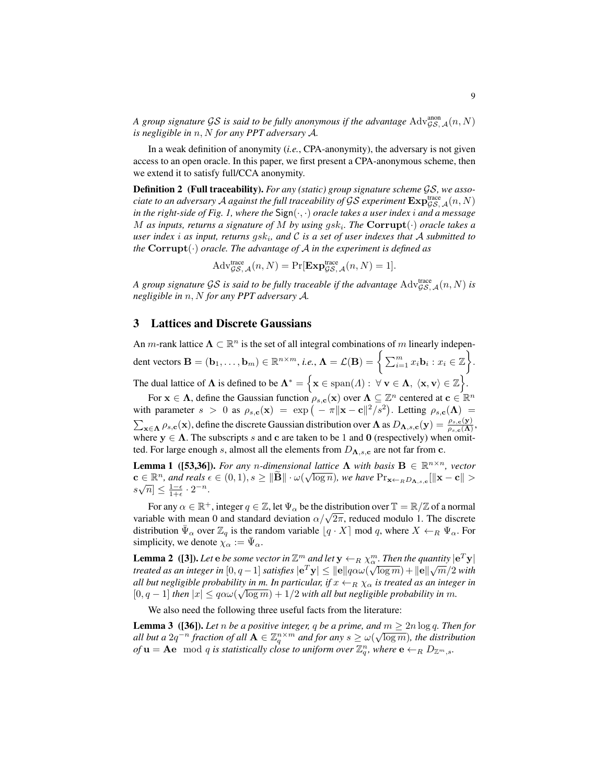A group signature GS is said to be fully anonymous if the advantage  $\mathrm{Adv}^{\mathrm{anon}}_{\mathcal{GS},\,\mathcal{A}}(n,N)$ *is negligible in* n, N *for any PPT adversary* A*.*

In a weak definition of anonymity (*i.e.*, CPA-anonymity), the adversary is not given access to an open oracle. In this paper, we first present a CPA-anonymous scheme, then we extend it to satisfy full/CCA anonymity.

Definition 2 (Full traceability). *For any (static) group signature scheme* GS*, we asso* $c$ iate to an adversary  ${\cal A}$  against the full traceability of  ${\cal GS}$  experiment  ${\rm Exp}_{\cal GS, {\cal A}}^{trace}(n,N)$ *in the right-side of Fig. [1,](#page-7-0) where the* Sign(·, ·) *oracle takes a user index* i *and a message*  $M$  as inputs, returns a signature of  $M$  by using  $g s k_i$ . The  $\textbf{Corrupt}(\cdot)$  oracle takes a *user index* i *as input, returns* gsk<sup>i</sup> *, and* C *is a set of user indexes that* A *submitted to the* Corrupt(·) *oracle. The advantage of* A *in the experiment is defined as*

$$
Adv_{\mathcal{GS}, \mathcal{A}}^{\text{trace}}(n, N) = \Pr[\mathbf{Exp}_{\mathcal{GS}, \mathcal{A}}^{\text{trace}}(n, N) = 1].
$$

A group signature GS is said to be fully traceable if the advantage  $\mathrm{Adv}^{\mathrm{trace}}_{\mathcal{GS},\,\mathcal{A}}(n,N)$  is *negligible in* n, N *for any PPT adversary* A*.*

# <span id="page-8-0"></span>3 Lattices and Discrete Gaussians

An *m*-rank lattice  $\Lambda \subset \mathbb{R}^n$  is the set of all integral combinations of m linearly independent vectors  $\mathbf{B} = (\mathbf{b}_1, \dots, \mathbf{b}_m) \in \mathbb{R}^{n \times m}$ , *i.e.*,  $\mathbf{\Lambda} = \mathcal{L}(\mathbf{B}) = \bigg\{ \sum_{i=1}^m x_i \mathbf{b}_i : x_i \in \mathbb{Z} \bigg\}.$ The dual lattice of  $\Lambda$  is defined to be  $\Lambda^* = \{ \mathbf{x} \in \text{span}(A) : \forall \mathbf{v} \in \Lambda, \ \langle \mathbf{x}, \mathbf{v} \rangle \in \mathbb{Z} \}.$ 

For  $x \in \Lambda$ , define the Gaussian function  $\rho_{s,c}(x)$  over  $\Lambda \subseteq \mathbb{Z}^n$  centered at  $c \in \mathbb{R}^n$ with parameter  $s > 0$  as  $\rho_{s,c}(\mathbf{x}) = \exp(-\pi ||\mathbf{x}-\mathbf{c}||^2/s^2)$ . Letting  $\rho_{s,c}(\Lambda) =$  $\sum_{\mathbf{x} \in \mathbf{\Lambda}} \rho_{s,\mathbf{c}}(\mathbf{x})$ , define the discrete Gaussian distribution over  $\mathbf{\Lambda}$  as  $D_{\mathbf{\Lambda},s,\mathbf{c}}(\mathbf{y}) = \frac{\rho_{s,\mathbf{c}}(\mathbf{y})}{\rho_{s,\mathbf{c}}(\mathbf{\Lambda})}$ , where  $y \in \Lambda$ . The subscripts s and c are taken to be 1 and 0 (respectively) when omitted. For large enough s, almost all the elements from  $D_{\Lambda,s,c}$  are not far from c.

<span id="page-8-3"></span>**Lemma 1** ([\[53](#page-23-11)[,36\]](#page-22-10)). *For any n*-dimensional lattice  $\Lambda$  *with basis*  $B \in \mathbb{R}^{n \times n}$ , vector  $\mathbf{c} \in \mathbb{R}^n$ , and reals  $\epsilon \in (0,1), s \geq \|\widetilde{\mathbf{B}}\| \cdot \omega(\sqrt{\log n})$ , we have  $\Pr_{\mathbf{x} \leftarrow_R D_{\mathbf{\Lambda},s,\mathbf{c}}}[\|\mathbf{x}-\mathbf{c}\| >$  $s\sqrt{n} \leq \frac{1-\epsilon}{1+\epsilon} \cdot 2^{-n}.$ 

For any  $\alpha \in \mathbb{R}^+$ , integer  $q \in \mathbb{Z}$ , let  $\Psi_\alpha$  be the distribution over  $\mathbb{T} = \mathbb{R}/\mathbb{Z}$  of a normal For any  $\alpha \in \mathbb{R}^n$ , integer  $q \in \mathbb{Z}$ , let  $\Psi_{\alpha}$  be the distribution over  $\mathbb{I} = \mathbb{R}/\mathbb{Z}$  or a normal variable with mean 0 and standard deviation  $\alpha/\sqrt{2\pi}$ , reduced modulo 1. The discrete distribution  $\bar{\Psi}_{\alpha}$  over  $\mathbb{Z}_q$  is the random variable  $[q \cdot X]$  mod q, where  $X \leftarrow_R \Psi_{\alpha}$ . For simplicity, we denote  $\chi_{\alpha} := \bar{\Psi}_{\alpha}$ .

<span id="page-8-2"></span>**Lemma 2** ([\[3\]](#page-20-3)). Let  $e$  be some vector in  $\mathbb{Z}^m$  and let  $y \leftarrow_R \chi^m$ . Then the quantity  $|e^T y|$ treated as an integer in  $[0,q-1]$  satisfies  $|{\bf e}^T{\bf y}|\leq \|{\bf e}\|q\alpha\omega(\sqrt{\log m})+\|{\bf e}\|\sqrt{m}/2$  with *all but negligible probability in m. In particular, if*  $x \leftarrow_R \chi_\alpha$  *is treated as an integer in*  $[0, q-1]$  then  $|x| \leq q \alpha \omega(\sqrt{\log m}) + 1/2$  with all but negligible probability in m.

<span id="page-8-1"></span>We also need the following three useful facts from the literature:

**Lemma 3** ([\[36\]](#page-22-10)). *Let n be a positive integer, q be a prime, and*  $m \geq 2n \log q$ . *Then for* all but a  $2q^{-n}$  fraction of all  $A \in \mathbb{Z}_q^{n \times m}$  and for any  $s \ge \omega(\sqrt{\log m})$ , the distribution of  $\mathbf{u} = \mathbf{A} \mathbf{e} \mod q$  is statistically close to uniform over  $\mathbb{Z}_q^n$ , where  $\mathbf{e} \leftarrow_R D_{\mathbb{Z}^m,s}$ .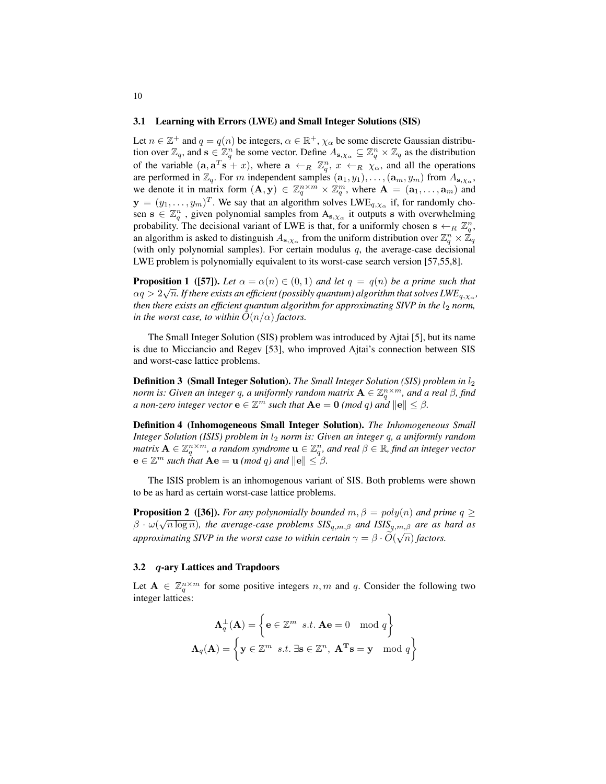#### 3.1 Learning with Errors (LWE) and Small Integer Solutions (SIS)

Let  $n \in \mathbb{Z}^+$  and  $q = q(n)$  be integers,  $\alpha \in \mathbb{R}^+$ ,  $\chi_\alpha$  be some discrete Gaussian distribution over  $\mathbb{Z}_q$ , and  $\mathbf{s} \in \mathbb{Z}_q^n$  be some vector. Define  $A_{\mathbf{s},\chi_\alpha} \subseteq \mathbb{Z}_q^n \times \mathbb{Z}_q$  as the distribution of the variable  $(a, a^T s + x)$ , where  $a \leftarrow_R \mathbb{Z}_q^n$ ,  $x \leftarrow_R \chi_\alpha$ , and all the operations are performed in  $\mathbb{Z}_q$ . For m independent samples  $(\mathbf{a}_1, y_1), \ldots, (\mathbf{a}_m, y_m)$  from  $A_{\mathbf{s}, \chi_\alpha}$ , we denote it in matrix form  $(A, y) \in \mathbb{Z}_q^{n \times m} \times \mathbb{Z}_q^m$ , where  $A = (a_1, \dots, a_m)$  and  $\mathbf{y} = (y_1, \dots, y_m)^T$ . We say that an algorithm solves  $LWE_{q, \chi_{\alpha}}$  if, for randomly chosen  $s \in \mathbb{Z}_q^n$ , given polynomial samples from  $A_{s,\chi_\alpha}$  it outputs s with overwhelming probability. The decisional variant of LWE is that, for a uniformly chosen  $s \leftarrow_R \mathbb{Z}_q^n$ , an algorithm is asked to distinguish  $A_{s,\chi_\alpha}$  from the uniform distribution over  $\mathbb{Z}_q^n\times \mathbb{Z}_q$ (with only polynomial samples). For certain modulus  $q$ , the average-case decisional LWE problem is polynomially equivalent to its worst-case search version [\[57,](#page-23-3)[55,](#page-23-12)[8\]](#page-21-12).

**Proposition 1** ([\[57\]](#page-23-3)). Let  $\alpha = \alpha(n) \in (0,1)$  and let  $q = q(n)$  be a prime such that  $\alpha q > 2\sqrt{n}.$  If there exists an efficient (possibly quantum) algorithm that solves  $LW\!E_{q,\chi_\alpha},$ *then there exists an efficient quantum algorithm for approximating SIVP in the*  $l_2$  *norm, in the worst case, to within*  $\tilde{O}(n/\alpha)$  *factors.* 

The Small Integer Solution (SIS) problem was introduced by Ajtai [\[5\]](#page-20-4), but its name is due to Micciancio and Regev [\[53\]](#page-23-11), who improved Ajtai's connection between SIS and worst-case lattice problems.

**Definition 3 (Small Integer Solution).** *The Small Integer Solution (SIS) problem in*  $l_2$ *norm is: Given an integer q, a uniformly random matrix*  $\mathbf{A} \in \mathbb{Z}_q^{n \times m}$ *, and a real β, find a* non-zero integer vector  $\mathbf{e} \in \mathbb{Z}^m$  such that  $\mathbf{A}\mathbf{e} = \mathbf{0}$  (mod q) and  $\|\mathbf{e}\| \leq \beta$ .

Definition 4 (Inhomogeneous Small Integer Solution). *The Inhomogeneous Small Integer Solution (ISIS) problem in*  $l_2$  *norm is: Given an integer q, a uniformly random matrix*  $A \in \mathbb{Z}_q^{n \times m}$ , a random syndrome  $\mathbf{u} \in \mathbb{Z}_q^n$ , and real  $\beta \in \mathbb{R}$ , find an integer vector  $e \in \mathbb{Z}^m$  *such that*  $Ae = u \pmod{q}$  *and*  $||e|| \leq \beta$ *.* 

The ISIS problem is an inhomogenous variant of SIS. Both problems were shown to be as hard as certain worst-case lattice problems.

<span id="page-9-0"></span>**Proposition 2** ([\[36\]](#page-22-10)). *For any polynomially bounded*  $m, \beta = poly(n)$  *and prime*  $q \ge$  $\beta \cdot \omega(\sqrt{n \log n})$ *, the average-case problems SIS*<sub>q,m, $\beta$  *and ISIS*<sub>q,m, $\beta$  *are as hard as*</sub></sub> *approximating SIVP in the worst case to within certain*  $\gamma = \beta \cdot O(\sqrt{n})$  *factors.* 

## 3.2 q-ary Lattices and Trapdoors

Let  $A \in \mathbb{Z}_q^{n \times m}$  for some positive integers  $n, m$  and  $q$ . Consider the following two integer lattices:

$$
\Lambda_q^{\perp}(\mathbf{A}) = \left\{ \mathbf{e} \in \mathbb{Z}^m \ s.t. \ \mathbf{A}\mathbf{e} = 0 \mod q \right\}
$$

$$
\Lambda_q(\mathbf{A}) = \left\{ \mathbf{y} \in \mathbb{Z}^m \ s.t. \ \exists \mathbf{s} \in \mathbb{Z}^n, \ \mathbf{A}^{\mathbf{T}}\mathbf{s} = \mathbf{y} \mod q \right\}
$$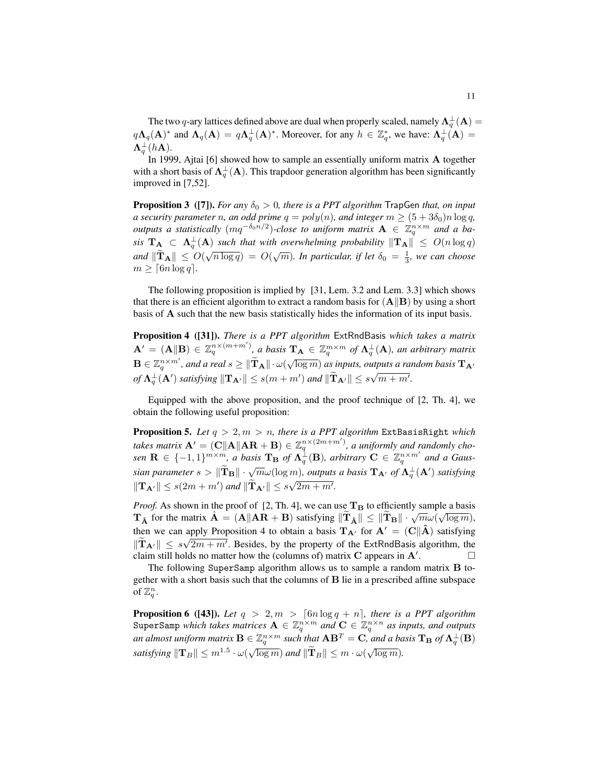The two  $q$ -ary lattices defined above are dual when properly scaled, namely  $\mathbf{\Lambda}^{\perp}_q(\mathbf{A})=$  $q\Lambda_q(A)^*$  and  $\Lambda_q(A) = q\Lambda_q^{\perp}(A)^*$ . Moreover, for any  $h \in \mathbb{Z}_q^*$ , we have:  $\Lambda_q^{\perp}(A) =$  ${\bf \Lambda}_q^{\perp}(h{\bf A}).$ 

In 1999, Ajtai [\[6\]](#page-20-5) showed how to sample an essentially uniform matrix A together with a short basis of  $\Lambda_q^{\perp}(A)$ . This trapdoor generation algorithm has been significantly improved in [\[7,](#page-21-13)[52\]](#page-23-13).

<span id="page-10-1"></span>**Proposition 3** ([\[7\]](#page-21-13)). *For any*  $\delta_0 > 0$ , there is a PPT algorithm TrapGen that, on input *a security parameter n, an odd prime*  $q = poly(n)$ *, and integer*  $m \geq (5 + 3\delta_0)n \log q$ *, outputs a statistically*  $(mq^{-\delta_0 n/2})$ -close to uniform matrix  $A \in \mathbb{Z}_q^{n \times m}$  and a ba*sis*  $T_A \subset \Lambda_q^{\perp}(A)$  *such that with overwhelming probability*  $\|T_A\| \leq O(n \log q)$ *and*  $\|\widetilde{\mathbf{T}}_{\mathbf{A}}\| \leq O(\sqrt{n \log q}) = O(\sqrt{m})$ . In particular, if let  $\delta_0 = \frac{1}{3}$ , we can choose  $m \geq \lceil 6n \log q \rceil$ .

The following proposition is implied by [\[31,](#page-22-14) Lem. 3.2 and Lem. 3.3] which shows that there is an efficient algorithm to extract a random basis for  $(A||B)$  by using a short basis of A such that the new basis statistically hides the information of its input basis.

<span id="page-10-0"></span>Proposition 4 ([\[31\]](#page-22-14)). *There is a PPT algorithm* ExtRndBasis *which takes a matrix*  $\mathbf{A}^{\prime} = (\mathbf{A}||\mathbf{B}) \in \mathbb{Z}_q^{n \times (m+m')}$ , a basis  $\mathbf{T}_\mathbf{A} \in \mathbb{Z}_q^{m \times m}$  of  $\mathbf{\Lambda}_q^{\perp}(\mathbf{A})$ , an arbitrary matrix  $\mathbf{B} \in \mathbb{Z}_q^{n \times m'}$ , and a real  $s \geq ||\widetilde{\mathbf{T}}_{\mathbf{A}}|| \cdot \omega(\sqrt{\log m})$  as inputs, outputs a random basis  $\mathbf{T}_{\mathbf{A}'}$ *of*  $\mathbf{\Lambda}_q^{\perp}(\mathbf{A}')$  *satisfying*  $\|\mathbf{T}_{\mathbf{A}'}\| \leq s(m+m')$  *and*  $\|\widetilde{\mathbf{T}}_{\mathbf{A}'}\| \leq s\sqrt{m+m'}$ .

Equipped with the above proposition, and the proof technique of [\[2,](#page-20-1) Th. 4], we obtain the following useful proposition:

**Proposition 5.** Let  $q > 2, m > n$ , there is a PPT algorithm ExtBasisRight *which takes matrix*  $A' = (C||A||AR + B) \in \mathbb{Z}_q^{n \times (2m+m')}$ , *a uniformly and randomly cho-* $\mathbf{R} \in \{-1,1\}^{m \times m}$ , a basis  $\mathbf{T_B}$  of  $\mathbf{\Lambda}_q^{\perp}(\mathbf{B})$ , arbitrary  $\mathbf{C} \in \mathbb{Z}_q^{n \times m'}$  and a Gaus*sian parameter*  $s > ||\tilde{T}_B|| \cdot \sqrt{m} \omega(\log m)$ , *outputs a basis*  $T_{A'}$  *of*  $\Lambda_q^{\perp}(A')$  *satisfying*  $\|\mathbf{T}_{\mathbf{A}'}\| \leq s(2m + m')$  and  $\|\widetilde{\mathbf{T}}_{\mathbf{A}'}\| \leq s\sqrt{2m + m'}$ .

*Proof.* As shown in the proof of [\[2,](#page-20-1) Th. 4], we can use  $T_B$  to efficiently sample a basis The matrix  $\hat{\mathbf{A}} = (\mathbf{A} \|\mathbf{A}\mathbf{R} + \mathbf{B})$  satisfying  $\|\widetilde{\mathbf{T}}_{\hat{\mathbf{A}}}\| \leq \|\widetilde{\mathbf{T}}_{\mathbf{B}}\| \cdot \sqrt{m} \omega (\sqrt{\log m}),$ then we can apply Proposition [4](#page-10-0) to obtain a basis  $T_A$  for  $A' = (C||\hat{A})$  satisfying  $\|\mathbf{T}_{\mathbf{A}'}\| \leq s\sqrt{2m+m'}$ . Besides, by the property of the ExtRndBasis algorithm, the claim still holds no matter how the (columns of) matrix  $C$  appears in  $A'$ . . —<br>. — П

The following SuperSamp algorithm allows us to sample a random matrix B together with a short basis such that the columns of B lie in a prescribed affine subspace of  $\mathbb{Z}_q^n$ .

<span id="page-10-2"></span>**Proposition 6** ([\[43\]](#page-22-12)). Let  $q > 2, m > \lceil 6n \log q + n \rceil$ , there is a PPT algorithm SuperSamp *which takes matrices*  $\mathbf{A}\in \mathbb{Z}_q^{n\times m}$  and  $\mathbf{C}\in \mathbb{Z}_q^{n\times n}$  as inputs, and outputs *an almost uniform matrix*  $\mathbf{B} \in \mathbb{Z}_q^{n \times m}$  *such that*  $\mathbf{A}\mathbf{B}^T = \mathbf{C}$ , and a basis  $\mathbf{T}_\mathbf{B}$  of  $\mathbf{\Lambda}_q^{\perp}(\mathbf{B})$ *satisfying*  $||\mathbf{T}_B|| \le m^{1.5} \cdot \omega(\sqrt{\log m})$  *and*  $||\mathbf{T}_B|| \le m \cdot \omega(\sqrt{\log m})$ *.*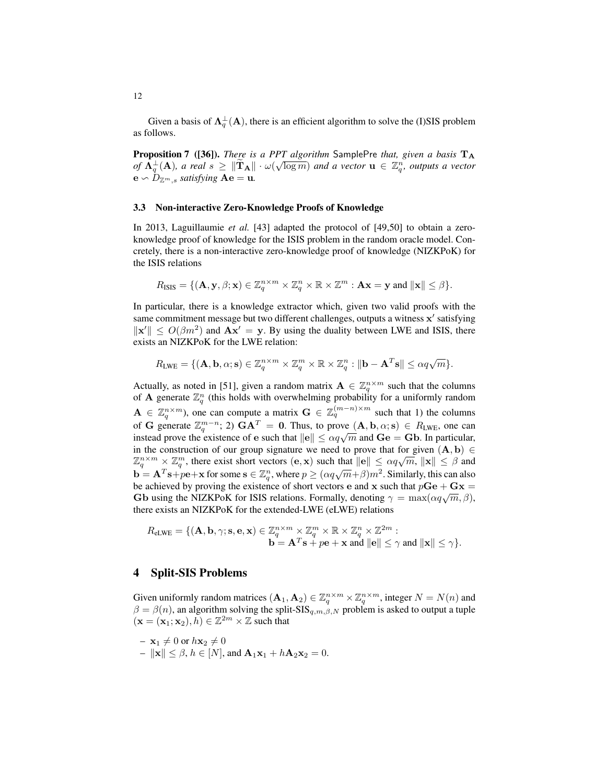Given a basis of  $\Lambda_q^{\perp}(A)$ , there is an efficient algorithm to solve the (I)SIS problem as follows.

**Proposition 7** ([\[36\]](#page-22-10)). *There is a PPT algorithm* SamplePre *that, given a basis* T<sub>A</sub> *of*  $\bar{\Lambda}_{q}^{\perp}(\mathbf{A})$ , a real  $s \geq \|\widetilde{\mathbf{T}}_{\mathbf{A}}\| \cdot \omega(\sqrt{\log m})$  and a vector  $\mathbf{u} \in \mathbb{Z}_{q}^{n}$ , outputs a vector  $\mathbf{e} \backsim D_{\mathbb{Z}^m,s}$  *satisfying*  $\mathbf{A}\mathbf{e} = \mathbf{u}$ *.* 

#### 3.3 Non-interactive Zero-Knowledge Proofs of Knowledge

In 2013, Laguillaumie *et al.* [\[43\]](#page-22-12) adapted the protocol of [\[49,](#page-23-10)[50\]](#page-23-8) to obtain a zeroknowledge proof of knowledge for the ISIS problem in the random oracle model. Concretely, there is a non-interactive zero-knowledge proof of knowledge (NIZKPoK) for the ISIS relations

$$
R_{\text{ISIS}} = \{ (\mathbf{A}, \mathbf{y}, \beta; \mathbf{x}) \in \mathbb{Z}_q^{n \times m} \times \mathbb{Z}_q^n \times \mathbb{R} \times \mathbb{Z}^m : \mathbf{A}\mathbf{x} = \mathbf{y} \text{ and } ||\mathbf{x}|| \leq \beta \}.
$$

In particular, there is a knowledge extractor which, given two valid proofs with the same commitment message but two different challenges, outputs a witness x' satisfying  $\|\mathbf{x}'\| \le O(\beta m^2)$  and  $\mathbf{A}\mathbf{x}' = \mathbf{y}$ . By using the duality between LWE and ISIS, there exists an NIZKPoK for the LWE relation:

$$
R_{\text{LWE}} = \{ (\mathbf{A}, \mathbf{b}, \alpha; \mathbf{s}) \in \mathbb{Z}_q^{n \times m} \times \mathbb{Z}_q^m \times \mathbb{R} \times \mathbb{Z}_q^n : ||\mathbf{b} - \mathbf{A}^T \mathbf{s}|| \le \alpha q \sqrt{m} \}.
$$

Actually, as noted in [\[51\]](#page-23-9), given a random matrix  $\mathbf{A} \in \mathbb{Z}_q^{n \times m}$  such that the columns of **A** generate  $\mathbb{Z}_q^n$  (this holds with overwhelming probability for a uniformly random  $A \in \mathbb{Z}_q^{n \times m}$ ), one can compute a matrix  $G \in \mathbb{Z}_q^{(m-n)\times m}$  such that 1) the columns of G generate  $\mathbb{Z}_q^{m-n}$ ; 2)  $GA^T = 0$ . Thus, to prove  $(A, \mathbf{b}, \alpha; \mathbf{s}) \in R_{LWE}$ , one can or G generate  $\mathbb{Z}_q$ ,  $\mathbb{Z}_p$  GA = 0. Thus, to prove  $(A, b, \alpha, s) \in R_{LWE}$ , one can instead prove the existence of e such that  $||e|| \le \alpha q \sqrt{m}$  and  $Ge = Gb$ . In particular, in the construction of our group signature we need to prove that for given  $(A, b) \in$ If the construction of our group signature we need to prove that for given  $(A, b) \in \mathbb{Z}_q^{n \times m} \times \mathbb{Z}_q^m$ , there exist short vectors  $(e, x)$  such that  $||e|| \leq \alpha q \sqrt{m}$ ,  $||x|| \leq \beta$  and  $\mathbf{b} = \mathbf{A}^T \mathbf{s} + p\mathbf{e} + \mathbf{x}$  for some  $\mathbf{s} \in \mathbb{Z}_q^n$ , where  $p \ge (\alpha q \sqrt{m} + \beta)m^2$ . Similarly, this can also be achieved by proving the existence of short vectors e and x such that  $p\text{Ge} + \text{Gx} =$ be achieved by proving the existence of short vectors e and x such that  $p$ **Ge** + **Gx** = **Gb** using the NIZKPoK for ISIS relations. Formally, denoting  $\gamma = \max(\alpha q \sqrt{m}, \beta)$ , there exists an NIZKPoK for the extended-LWE (eLWE) relations

$$
R_{\text{eLWE}} = \{ (\mathbf{A}, \mathbf{b}, \gamma; \mathbf{s}, \mathbf{e}, \mathbf{x}) \in \mathbb{Z}_q^{n \times m} \times \mathbb{Z}_q^m \times \mathbb{R} \times \mathbb{Z}_q^n \times \mathbb{Z}^{2m} : \\ \mathbf{b} = \mathbf{A}^T \mathbf{s} + p\mathbf{e} + \mathbf{x} \text{ and } ||\mathbf{e}|| \leq \gamma \text{ and } ||\mathbf{x}|| \leq \gamma \}.
$$

# <span id="page-11-0"></span>4 Split-SIS Problems

Given uniformly random matrices  $(A_1, A_2) \in \mathbb{Z}_q^{n \times m} \times \mathbb{Z}_q^{n \times m}$ , integer  $N = N(n)$  and  $\beta = \beta(n)$ , an algorithm solving the split-SIS<sub>q,m,</sub> $\beta$ ,<sub>N</sub> problem is asked to output a tuple  $(\mathbf{x} = (\mathbf{x}_1; \mathbf{x}_2), h) \in \mathbb{Z}^{2m} \times \mathbb{Z}$  such that

$$
- \mathbf{x}_1 \neq 0 \text{ or } h\mathbf{x}_2 \neq 0
$$
  
-  $\|\mathbf{x}\| \leq \beta, h \in [N]$ , and  $\mathbf{A}_1\mathbf{x}_1 + h\mathbf{A}_2\mathbf{x}_2 = 0$ .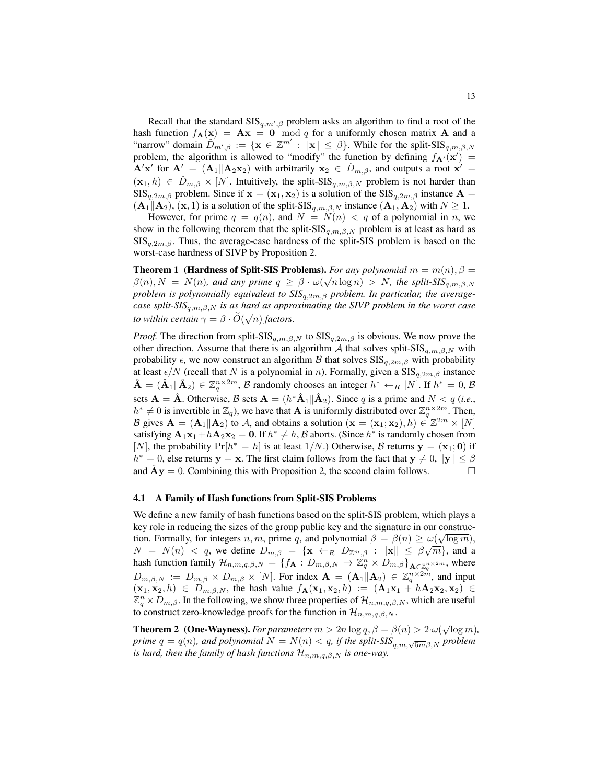Recall that the standard  $\text{SIS}_{q,m',\beta}$  problem asks an algorithm to find a root of the hash function  $f_{\bf A}({\bf x}) = {\bf A}{\bf x} = {\bf 0} \mod q$  for a uniformly chosen matrix  ${\bf A}$  and a "narrow" domain  $\hat{D}_{m',\beta} := \{ \mathbf{x} \in \mathbb{Z}^{m'} : ||\mathbf{x}|| \leq \beta \}$ . While for the split-SIS $_{q,m,\beta,N}$ problem, the algorithm is allowed to "modify" the function by defining  $f_{A}(\mathbf{x}') =$  $\mathbf{A}'\mathbf{x}'$  for  $\mathbf{A}' = (\mathbf{A}_1 || \mathbf{A}_2 \mathbf{x}_2)$  with arbitrarily  $\mathbf{x}_2 \in \hat{D}_{m,\beta}$ , and outputs a root  $\mathbf{x}' =$  $(x_1, h) \in \hat{D}_{m,\beta} \times [N]$ . Intuitively, the split-SIS<sub>q,m, $\beta, N$ </sub> problem is not harder than  $\text{SIS}_{q,2m,\beta}$  problem. Since if  $\mathbf{x} = (\mathbf{x}_1, \mathbf{x}_2)$  is a solution of the  $\text{SIS}_{q,2m,\beta}$  instance  $\mathbf{A} =$  $(A_1||A_2)$ ,  $(x, 1)$  is a solution of the split-SIS<sub>q,m, $\beta$ ,N instance  $(A_1, A_2)$  with  $N \ge 1$ .</sub>

However, for prime  $q = q(n)$ , and  $N = N(n) < q$  of a polynomial in n, we show in the following theorem that the split-SIS<sub>q,m, $\beta$ ,N problem is at least as hard as</sub>  $\text{SIS}_{a,2m,\beta}$ . Thus, the average-case hardness of the split-SIS problem is based on the worst-case hardness of SIVP by Proposition [2.](#page-9-0)

**Theorem 1 (Hardness of Split-SIS Problems).** *For any polynomial*  $m = m(n), \beta = 0$  $\beta(n), N = N(n)$ , and any prime  $q \ge \beta \cdot \omega(\sqrt{n \log n}) > N$ , the split-SIS<sub>q,m, $\beta$ ,N</sub> *problem is polynomially equivalent to SIS*q,2m,β *problem. In particular, the averagecase split-SIS*q,m,β,N *is as hard as approximating the SIVP problem in the worst case to within certain*  $\gamma = \beta \cdot \widetilde{O}(\sqrt{n})$  *factors.* 

*Proof.* The direction from split-SIS<sub>q,m, $\beta$ ,N to SIS<sub>q,2m, $\beta$ </sub> is obvious. We now prove the</sub> other direction. Assume that there is an algorithm A that solves split-SIS<sub>q,m,</sub> $\beta$ ,<sub>N</sub> with probability  $\epsilon$ , we now construct an algorithm B that solves  $\text{SIS}_{q,2m,\beta}$  with probability at least  $\epsilon/N$  (recall that N is a polynomial in n). Formally, given a  $\text{SIS}_{q,2m,\beta}$  instance  $\hat{\mathbf{A}} = (\hat{\mathbf{A}}_1 || \hat{\mathbf{A}}_2) \in \mathbb{Z}_q^{n \times 2m}$ ,  $\beta$  randomly chooses an integer  $h^* \leftarrow_R [N]$ . If  $h^* = 0$ ,  $\beta$ sets  $\mathbf{A} = \hat{\mathbf{A}}$ . Otherwise,  $\mathcal{B}$  sets  $\mathbf{A} = (h^* \hat{\mathbf{A}}_1 || \hat{\mathbf{A}}_2)$ . Since q is a prime and  $N < q$  (*i.e.*,  $h^* \neq 0$  is invertible in  $\mathbb{Z}_q$ ), we have that **A** is uniformly distributed over  $\mathbb{Z}_q^{n \times 2m}$ . Then, B gives  $\mathbf{A} = (\mathbf{A}_1 || \mathbf{A}_2)$  to A, and obtains a solution  $(\mathbf{x} = (\mathbf{x}_1; \mathbf{x}_2), h) \in \mathbb{Z}^{2m} \times [N]$ satisfying  $\mathbf{A}_1 \mathbf{x}_1 + h \mathbf{A}_2 \mathbf{x}_2 = \mathbf{0}$ . If  $h^* \neq h$ ,  $\mathcal B$  aborts. (Since  $h^*$  is randomly chosen from [N], the probability  $Pr[h^* = h]$  is at least 1/N.) Otherwise, B returns  $y = (x_1; 0)$  if  $h^* = 0$ , else returns  $y = x$ . The first claim follows from the fact that  $y \neq 0$ ,  $||y|| \leq \beta$ and  $\overline{Ay} = 0$ . Combining this with Proposition [2,](#page-9-0) the second claim follows.

## 4.1 A Family of Hash functions from Split-SIS Problems

We define a new family of hash functions based on the split-SIS problem, which plays a key role in reducing the sizes of the group public key and the signature in our construc-√ tion. Formally, for integers  $n, m$ , prime q, and polynomial  $\beta = \beta(n) \ge \omega(\sqrt{\log m}),$  $N = N(n) < q$ , we define  $D_{m,\beta} = {\mathbf{x} \leftarrow_R D_{\mathbb{Z}^m,\beta} : ||\mathbf{x}|| \leq \beta \sqrt{m}}$ , and a hash function family  $\mathcal{H}_{n,m,q,\beta,N} = \{f_{\mathbf{A}} : D_{m,\beta,N} \to \mathbb{Z}_q^n \times D_{m,\beta}\}_{\mathbf{A} \in \mathbb{Z}_q^{n \times 2m}}$ , where  $D_{m,\beta,N} := D_{m,\beta} \times D_{m,\beta} \times [N]$ . For index  $\mathbf{A} = (\mathbf{A}_1 || \mathbf{A}_2) \in \mathbb{Z}_q^{n \times 2m}$ , and input  $(x_1, x_2, h) \in D_{m,\beta,N}$ , the hash value  $f_{\mathbf{A}}(x_1, x_2, h) := (\mathbf{A}_1x_1 + h\mathbf{A}_2x_2, x_2) \in$  $\mathbb{Z}_q^n \times D_{m,\beta}$ . In the following, we show three properties of  $\mathcal{H}_{n,m,q,\beta,N}$ , which are useful to construct zero-knowledge proofs for the function in  $\mathcal{H}_{n,m,q,\beta,N}$ .

**Theorem 2** (One-Wayness). *For parameters*  $m > 2n \log q$ ,  $\beta = \beta(n) > 2 \cdot \omega(\sqrt{\log m})$ , *prime*  $q = q(n)$ *, and polynomial*  $N = N(n) < q$ *, if the split-SIS*<sub> $q,m,\sqrt{5m}\beta,N$  *problem*</sub> *is hard, then the family of hash functions*  $\mathcal{H}_{n,m,q,\beta,N}$  *is one-way.*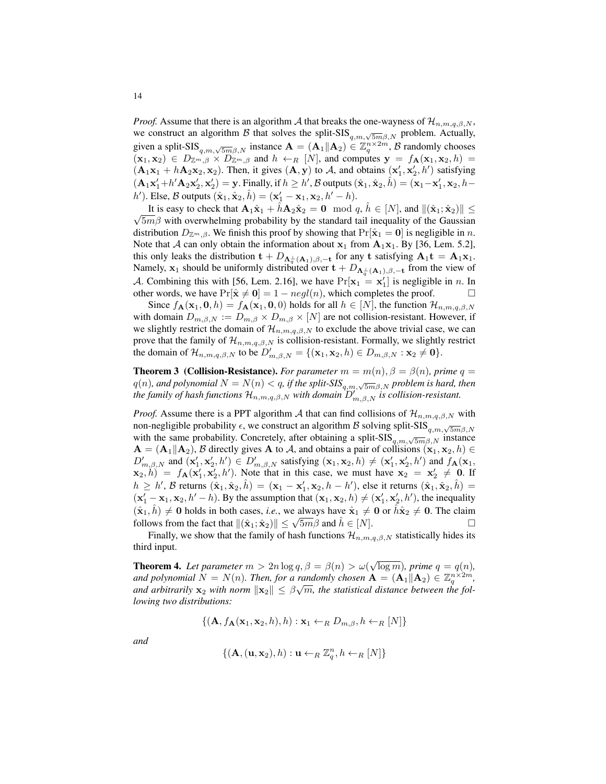*Proof.* Assume that there is an algorithm A that breaks the one-wayness of  $\mathcal{H}_{n,m,q,\beta,N}$ , we construct an algorithm B that solves the split-SIS $_{q,m,\sqrt{5m}\beta,N}$  problem. Actually, given a split-SIS $_{q,m,\sqrt{5m}\beta,N}$  instance  $\mathbf{A} = (\mathbf{A}_1 || \mathbf{A}_2) \in \mathbb{Z}_q^{n \times 2m}$ ,  $\beta$  randomly chooses  $({\bf x}_1,{\bf x}_2) \in D_{\mathbb{Z}^m, \beta} \times D_{\mathbb{Z}^m, \beta}$  and  $h \leftarrow_R [N]$ , and computes  ${\bf y} = f_{\bf A}({\bf x}_1,{\bf x}_2,h)$  $(A_1x_1 + hA_2x_2, x_2)$ . Then, it gives  $(A, y)$  to A, and obtains  $(x'_1, x'_2, h')$  satisfying  $(\mathbf{A}_1\mathbf{x}_1'+h'\mathbf{A}_2\mathbf{x}_2', \mathbf{x}_2') = \mathbf{y}$ . Finally, if  $h \geq h'$ ,  $\mathcal{B}$  outputs  $(\hat{\mathbf{x}}_1, \hat{\mathbf{x}}_2, \hat{h}) = (\mathbf{x}_1 - \mathbf{x}_1', \mathbf{x}_2, h$  $h'$ ). Else, B outputs  $(\hat{\mathbf{x}}_1, \hat{\mathbf{x}}_2, \hat{h}) = (\mathbf{x}_1' - \mathbf{x}_1, \mathbf{x}_2, h' - h)$ .

It is easy to check that  $\mathbf{A}_1 \hat{\mathbf{x}}_1 + \hat{h} \mathbf{A}_2 \hat{\mathbf{x}}_2 = \mathbf{0} \mod q$ ,  $\hat{h} \in [N]$ , and  $\|(\hat{\mathbf{x}}_1; \hat{\mathbf{x}}_2)\| \leq$  $\sqrt{5m\beta}$  with overwhelming probability by the standard tail inequality of the Gaussian distribution  $D_{\mathbb{Z}^m,\beta}$ . We finish this proof by showing that  $Pr[\hat{\mathbf{x}}_1 = \mathbf{0}]$  is negligible in n. Note that A can only obtain the information about  $x_1$  from  $A_1x_1$ . By [\[36,](#page-22-10) Lem. 5.2], this only leaks the distribution  $\mathbf{t} + D_{\mathbf{\Lambda}^{\perp}_{q}(\mathbf{A}_1),\beta,-\mathbf{t}}$  for any  $\mathbf{t}$  satisfying  $\mathbf{A}_1 \mathbf{t} = \mathbf{A}_1 \mathbf{x}_1$ . Namely,  $x_1$  should be uniformly distributed over  $t + D_{\Lambda_q^{\perp}(A_1),\beta,-t}$  from the view of A. Combining this with [\[56,](#page-23-14) Lem. 2.16], we have  $Pr[\mathbf{x}_1 = \mathbf{x}'_1]$  is negligible in *n*. In other words, we have  $Pr[\hat{\mathbf{x}} \neq \mathbf{0}] = 1 - negl(n)$ , which completes the proof.

Since  $f_{\mathbf{A}}(\mathbf{x}_1, \mathbf{0}, h) = f_{\mathbf{A}}(\mathbf{x}_1, \mathbf{0}, 0)$  holds for all  $h \in [N]$ , the function  $\mathcal{H}_{n,m,q,\beta,N}$ with domain  $D_{m,\beta,N} := D_{m,\beta} \times D_{m,\beta} \times [N]$  are not collision-resistant. However, if we slightly restrict the domain of  $\mathcal{H}_{n,m,q,\beta,N}$  to exclude the above trivial case, we can prove that the family of  $\mathcal{H}_{n,m,q,\beta,N}$  is collision-resistant. Formally, we slightly restrict the domain of  $\mathcal{H}_{n,m,q,\beta,N}$  to be  $D'_{m,\beta,N} = \{(\mathbf{x}_1, \mathbf{x}_2, h) \in D_{m,\beta,N} : \mathbf{x}_2 \neq \mathbf{0}\}.$ 

**Theorem 3** (Collision-Resistance). *For parameter*  $m = m(n)$ ,  $\beta = \beta(n)$ , prime  $q =$  $q(n)$ , and polynomial  $N = N(n) < q$ , if the split-SIS $_{q,m,\sqrt{5m}\beta,N}$  problem is hard, then *the family of hash functions*  $\mathcal{H}_{n,m,q,\beta,N}$  *with domain*  $D'_{m,\beta,N}$  *is collision-resistant.* 

*Proof.* Assume there is a PPT algorithm A that can find collisions of  $\mathcal{H}_{n,m,q,\beta,N}$  with non-negligible probability  $\epsilon$ , we construct an algorithm  $\beta$  solving split-SIS $_{q,m,\sqrt{5m}\beta,N}$ with the same probability. Concretely, after obtaining a split-SIS $_{q,m,\sqrt{5m}\beta,N}$  instance  $A = (A_1||A_2)$ , B directly gives A to A, and obtains a pair of collisions  $(x_1, x_2, h) \in$  $D'_{m,\beta,N}$  and  $(\mathbf{x}'_1, \mathbf{x}'_2, h') \in D'_{m,\beta,N}$  satisfying  $(\mathbf{x}_1, \mathbf{x}_2, h) \neq (\mathbf{x}'_1, \mathbf{x}'_2, h')$  and  $f_{\mathbf{A}}(\mathbf{x}_1, h')$  $(\mathbf{x}_2, h) = f_{\mathbf{A}}(\mathbf{x}'_1, \mathbf{x}'_2, h')$ . Note that in this case, we must have  $\mathbf{x}_2 = \mathbf{x}'_2 \neq \mathbf{0}$ . If  $h \ge h'$ , B returns  $(\hat{\mathbf{x}}_1, \hat{\mathbf{x}}_2, \hat{h}) = (\mathbf{x}_1 - \mathbf{x}'_1, \mathbf{x}_2, h - h')$ , else it returns  $(\hat{\mathbf{x}}_1, \hat{\mathbf{x}}_2, \hat{h}) =$  $(x'_1 - x_1, x_2, h' - h)$ . By the assumption that  $(x_1, x_2, h) \neq (x'_1, x'_2, h')$ , the inequality  $(\hat{\mathbf{x}}_1, \hat{h}) \neq \mathbf{0}$  holds in both cases, *i.e.*, we always have  $\hat{\mathbf{x}}_1 \neq \mathbf{0}$  or  $\hat{h}\hat{\mathbf{x}}_2 \neq \mathbf{0}$ . The claim follows from the fact that  $\|(\hat{\mathbf{x}}_1; \hat{\mathbf{x}}_2)\| \le \sqrt{5m}\beta$  and  $\hat{h} \in [N]$ .

Finally, we show that the family of hash functions  $\mathcal{H}_{n,m,q,\beta,N}$  statistically hides its third input.

<span id="page-13-0"></span>**Theorem 4.** Let parameter  $m > 2n \log q$ ,  $\beta = \beta(n) > \omega(\sqrt{\log m})$ , prime  $q = q(n)$ , *and polynomial*  $N = N(n)$ *. Then, for a randomly chosen*  $\mathbf{A} = (\mathbf{A}_1 || \mathbf{A}_2) \in \mathbb{Z}_q^{n \times 2m}$ and arbitrarily  $\mathbf{x}_2$  with norm  $\|\mathbf{x}_2\| \leq \beta\sqrt{m}$ , the statistical distance between the fol*lowing two distributions:*

$$
\{(\mathbf{A}, f_{\mathbf{A}}(\mathbf{x}_1, \mathbf{x}_2, h), h) : \mathbf{x}_1 \leftarrow_R D_{m,\beta}, h \leftarrow_R [N]\}
$$

*and*

$$
\{(\mathbf{A},(\mathbf{u},\mathbf{x}_2),h):\mathbf{u}\leftarrow_R \mathbb{Z}_q^n, h\leftarrow_R [N]\}
$$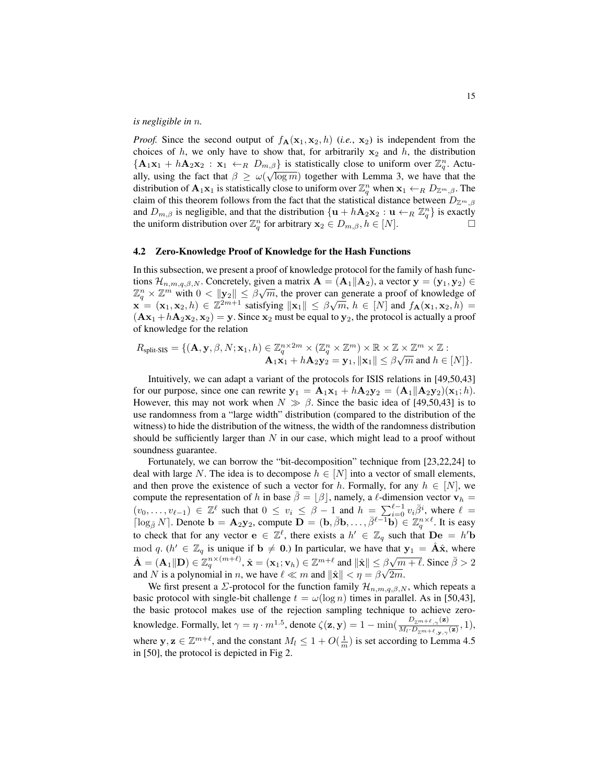*is negligible in* n*.*

*Proof.* Since the second output of  $f_{\mathbf{A}}(\mathbf{x}_1, \mathbf{x}_2, h)$  (*i.e.*,  $\mathbf{x}_2$ ) is independent from the choices of h, we only have to show that, for arbitrarily  $x_2$  and h, the distribution  ${A_1x_1 + hA_2x_2 : x_1 \leftarrow_R D_{m,\beta}}$  is statistically close to uniform over  $\mathbb{Z}_q^n$ . Actually, using the fact that  $\beta \ge \omega(\sqrt{\log m})$  together with Lemma [3,](#page-8-1) we have that the distribution of  $\mathbf{A}_1 \mathbf{x}_1$  is statistically close to uniform over  $\mathbb{Z}_q^n$  when  $\mathbf{x}_1 \leftarrow_R D_{\mathbb{Z}^m,\beta}$ . The claim of this theorem follows from the fact that the statistical distance between  $D_{\mathbb{Z}^m,\beta}$ and  $D_{m,\beta}$  is negligible, and that the distribution  $\{ \mathbf{u} + h\mathbf{A}_2\mathbf{x}_2 : \mathbf{u} \leftarrow_R \mathbb{Z}_q^n \}$  is exactly the uniform distribution over  $\mathbb{Z}_q^n$  for arbitrary  $\mathbf{x}_2 \in D_{m,\beta}, h \in [N]$ .

## <span id="page-14-0"></span>4.2 Zero-Knowledge Proof of Knowledge for the Hash Functions

In this subsection, we present a proof of knowledge protocol for the family of hash functions  $\mathcal{H}_{n,m,q,\beta,N}$ . Concretely, given a matrix  $\mathbf{A} = (\mathbf{A}_1 || \mathbf{A}_2)$ , a vector  $\mathbf{y} = (\mathbf{y}_1, \mathbf{y}_2) \in \mathbb{R}^n$  $\mathbb{Z}_q^n \times \mathbb{Z}^m$  with  $0 < ||\mathbf{y}_2|| \leq \beta \sqrt{m}$ , the prover can generate a proof of knowledge of  $\mathbb{X}_q \times \mathbb{Z}$  with  $0 \le ||y_2|| \le |y\sqrt{n}$ , the prover can generate a proof of knowledge of  $\mathbf{x} = (\mathbf{x}_1, \mathbf{x}_2, h) \in \mathbb{Z}^{2m+1}$  satisfying  $||\mathbf{x}_1|| \le |y\sqrt{m}$ ,  $h \in [N]$  and  $f_{\mathbf{A}}(\mathbf{x}_1, \mathbf{x}_2, h) =$  $(Ax_1 + hA_2x_2, x_2) = y$ . Since  $x_2$  must be equal to  $y_2$ , the protocol is actually a proof of knowledge for the relation

$$
R_{split\text{-SIS}} = \{ (\mathbf{A}, \mathbf{y}, \beta, N; \mathbf{x}_1, h) \in \mathbb{Z}_q^{n \times 2m} \times (\mathbb{Z}_q^n \times \mathbb{Z}^m) \times \mathbb{R} \times \mathbb{Z} \times \mathbb{Z}^m \times \mathbb{Z} : \mathbf{A}_1 \mathbf{x}_1 + h\mathbf{A}_2 \mathbf{y}_2 = \mathbf{y}_1, ||\mathbf{x}_1|| \leq \beta \sqrt{m} \text{ and } h \in [N] \}.
$$

Intuitively, we can adapt a variant of the protocols for ISIS relations in [\[49](#page-23-10)[,50](#page-23-8)[,43\]](#page-22-12) for our purpose, since one can rewrite  $y_1 = A_1x_1 + hA_2y_2 = (A_1||A_2y_2)(x_1; h)$ . However, this may not work when  $N \gg \beta$ . Since the basic idea of [\[49](#page-23-10)[,50](#page-23-8)[,43\]](#page-22-12) is to use randomness from a "large width" distribution (compared to the distribution of the witness) to hide the distribution of the witness, the width of the randomness distribution should be sufficiently larger than  $N$  in our case, which might lead to a proof without soundness guarantee.

Fortunately, we can borrow the "bit-decomposition" technique from [\[23](#page-21-14)[,22](#page-21-15)[,24\]](#page-21-16) to deal with large N. The idea is to decompose  $h \in [N]$  into a vector of small elements, and then prove the existence of such a vector for h. Formally, for any  $h \in [N]$ , we compute the representation of h in base  $\bar{\beta} = \lfloor \beta \rfloor$ , namely, a  $\ell$ -dimension vector  $v_h$  =  $(v_0, \ldots, v_{\ell-1}) \in \mathbb{Z}^{\ell}$  such that  $0 \leq v_i \leq \beta - 1$  and  $h = \sum_{i=0}^{\ell-1} v_i \overline{\beta}^i$ , where  $\ell =$  $\lceil \log_{\bar{\beta}} N \rceil$ . Denote  $\mathbf{b} = \mathbf{A}_2 \mathbf{y}_2$ , compute  $\mathbf{D} = (\mathbf{b}, \bar{\beta} \mathbf{b}, \dots, \bar{\beta}^{\ell-1} \mathbf{b}) \in \mathbb{Z}_q^{n \times \ell}$ . It is easy to check that for any vector  $\mathbf{e} \in \mathbb{Z}^{\ell}$ , there exists a  $h' \in \mathbb{Z}_q$  such that  $\mathbf{De} = h' \mathbf{b}$ mod q. ( $h' \in \mathbb{Z}_q$  is unique if  $\mathbf{b} \neq \mathbf{0}$ .) In particular, we have that  $\mathbf{y}_1 = \hat{\mathbf{A}}\hat{\mathbf{x}}$ , where  $\hat{\mathbf{A}} = (\mathbf{A}_1 \| \mathbf{D}) \in \mathbb{Z}_q^{n \times (m+\ell)}, \hat{\mathbf{x}} = (\mathbf{x}_1; \mathbf{v}_h) \in \mathbb{Z}^{m+\ell}$  and  $\|\hat{\mathbf{x}}\| \leq \beta$  $\beta\sqrt{m} + \ell$ . Since  $\bar{\beta} > 2$ and N is a polynomial in n, we have  $\ell \ll m$  and  $\|\hat{\mathbf{x}}\| < \eta = \beta\sqrt{2m}$ .

We first present a  $\Sigma$ -protocol for the function family  $\mathcal{H}_{n,m,q,\beta,N}$ , which repeats a basic protocol with single-bit challenge  $t = \omega(\log n)$  times in parallel. As in [\[50](#page-23-8)[,43\]](#page-22-12), the basic protocol makes use of the rejection sampling technique to achieve zeroknowledge. Formally, let  $\gamma = \eta \cdot m^{1.5}$ , denote  $\zeta(\mathbf{z}, \mathbf{y}) = 1 - \min(\frac{D_{Z^m+\ell, \gamma}(\mathbf{z})}{M \cdot D_{Z^m+\ell, \gamma}(\mathbf{z})})$  $\frac{L_{\mathbb{Z}^{m+\ell},\gamma}(\mathbf{z})}{M_l \cdot D_{\mathbb{Z}^{m+\ell},\mathbf{y},\gamma}(\mathbf{z})}, 1),$ where  $y, z \in \mathbb{Z}^{m+\ell}$ , and the constant  $M_l \leq 1 + O(\frac{1}{m})$  is set according to Lemma 4.5 in [\[50\]](#page-23-8), the protocol is depicted in Fig [2.](#page-15-1)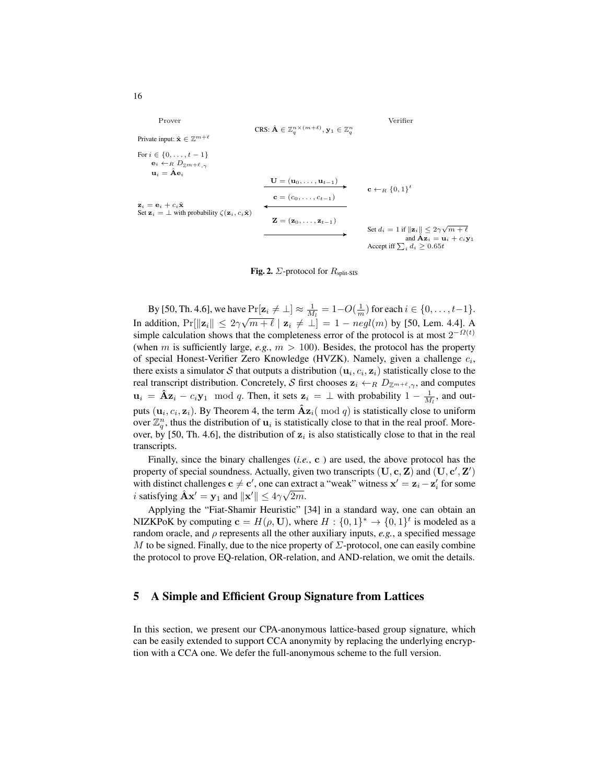Prover  
\n
$$
\begin{array}{ll}\n\text{Prove} & \text{Verifier} \\
\text{Private input: } \hat{\mathbf{x}} \in \mathbb{Z}^{m+\ell} \\
\text{For } i \in \{0, \ldots, t-1\} \\
\mathbf{e}_i \leftarrow_R D_{\mathbb{Z}^m + \ell, \gamma} \\
\mathbf{u}_i = \hat{\mathbf{A}} \mathbf{e}_i \\
\text{Set } \mathbf{z}_i = \bot \text{ with probability } \zeta(\mathbf{z}_i, c_i \hat{\mathbf{x}}) \\
\hline\n\mathbf{z} = (\mathbf{z}_0, \ldots, \mathbf{z}_{t-1}) \\
\hline\n\mathbf{z}_i = \mathbf{e}_i + c_i \hat{\mathbf{x}} \\
\text{Set } \mathbf{z}_i = \bot \text{ with probability } \zeta(\mathbf{z}_i, c_i \hat{\mathbf{x}}) \\
\hline\n\mathbf{z} = (\mathbf{z}_0, \ldots, \mathbf{z}_{t-1}) \\
\hline\n\mathbf{z} = (\mathbf{z}_0, \ldots, \mathbf{z}_{t-1}) \\
\hline\n\mathbf{z} = (\mathbf{z}_0, \ldots, \mathbf{z}_{t-1}) \\
\hline\n\mathbf{z} = (\mathbf{z}_0, \ldots, \mathbf{z}_{t-1}) \\
\hline\n\mathbf{z} = (\mathbf{z}_0, \ldots, \mathbf{z}_{t-1}) \\
\hline\n\mathbf{z} = (\mathbf{z}_0, \ldots, \mathbf{z}_{t-1}) \\
\hline\n\mathbf{z} = (\mathbf{z}_0, \ldots, \mathbf{z}_{t-1}) \\
\hline\n\mathbf{z} = (\mathbf{z}_0, \ldots, \mathbf{z}_{t-1}) \\
\hline\n\mathbf{z} = (\mathbf{z}_0, \ldots, \mathbf{z}_{t-1}) \\
\hline\n\mathbf{z} = (\mathbf{z}_0, \ldots, \mathbf{z}_{t-1}) \\
\hline\n\mathbf{z} = (\mathbf{z}_0, \ldots, \mathbf{z}_{t-1}) \\
\hline\n\mathbf{z} = (\mathbf{z}_0, \ldots, \mathbf{z}_{t-1}) \\
\hline\n\mathbf{z} = (\mathbf{z}_0, \ldots, \mathbf{z}_{t-1}) \\
\hline\n\mathbf{z} = (\mathbf{z}_0, \ldots, \mathbf{z}_{t-1}) \\
\h
$$

#### <span id="page-15-1"></span>Fig. 2.  $\Sigma$ -protocol for  $R_{\text{split-SIS}}$

By [\[50,](#page-23-8) Th. 4.6], we have  $Pr[\mathbf{z}_i \neq \bot] \approx \frac{1}{M_l} = 1 - O(\frac{1}{m})$  for each  $i \in \{0, \ldots, t-1\}$ . In addition,  $Pr[\|\mathbf{z}_i\| \leq 2\gamma]$ √  $\boxed{m + \ell \mid \mathbf{z}_i \neq \bot] = 1 - negl(m)$  by [\[50,](#page-23-8) Lem. 4.4]. A simple calculation shows that the completeness error of the protocol is at most  $2^{-\Omega(t)}$ (when m is sufficiently large,  $e.g., m > 100$ ). Besides, the protocol has the property of special Honest-Verifier Zero Knowledge (HVZK). Namely, given a challenge  $c_i$ , there exists a simulator S that outputs a distribution  $(\mathbf{u}_i, c_i, \mathbf{z}_i)$  statistically close to the real transcript distribution. Concretely, S first chooses  $z_i \leftarrow_R D_{\mathbb{Z}^{m+\ell},\gamma}$ , and computes  $\mathbf{u}_i = \hat{\mathbf{A}} \mathbf{z}_i - c_i \mathbf{y}_1 \mod q$ . Then, it sets  $\mathbf{z}_i = \perp$  with probability  $1 - \frac{1}{M_l}$ , and outputs  $(\mathbf{u}_i, c_i, \mathbf{z}_i)$ . By Theorem [4,](#page-13-0) the term  $\hat{\mathbf{A}} \mathbf{z}_i \text{ ( mod } q)$  is statistically close to uniform over  $\mathbb{Z}_q^n$ , thus the distribution of  $\mathbf{u}_i$  is statistically close to that in the real proof. More-over, by [\[50,](#page-23-8) Th. 4.6], the distribution of  $z_i$  is also statistically close to that in the real transcripts.

Finally, since the binary challenges (*i.e.*, c ) are used, the above protocol has the property of special soundness. Actually, given two transcripts  $(\mathbf{U}, \mathbf{c}, \mathbf{Z})$  and  $(\mathbf{U}, \mathbf{c}', \mathbf{Z}')$ with distinct challenges  $c \neq c'$ , one can extract a "weak" witness  $x' = z_i - z'_i$  for some *i* satisfying  $\hat{\mathbf{A}} \mathbf{x}' = \mathbf{y}_1$  and  $\|\mathbf{x}'\| \le 4\gamma\sqrt{2m}$ .

Applying the "Fiat-Shamir Heuristic" [\[34\]](#page-22-18) in a standard way, one can obtain an NIZKPoK by computing  $\mathbf{c} = H(\rho, \mathbf{U})$ , where  $H : \{0,1\}^* \to \{0,1\}^t$  is modeled as a random oracle, and  $\rho$  represents all the other auxiliary inputs,  $e.g.,$  a specified message M to be signed. Finally, due to the nice property of  $\Sigma$ -protocol, one can easily combine the protocol to prove EQ-relation, OR-relation, and AND-relation, we omit the details.

# <span id="page-15-0"></span>5 A Simple and Efficient Group Signature from Lattices

In this section, we present our CPA-anonymous lattice-based group signature, which can be easily extended to support CCA anonymity by replacing the underlying encryption with a CCA one. We defer the full-anonymous scheme to the full version.

16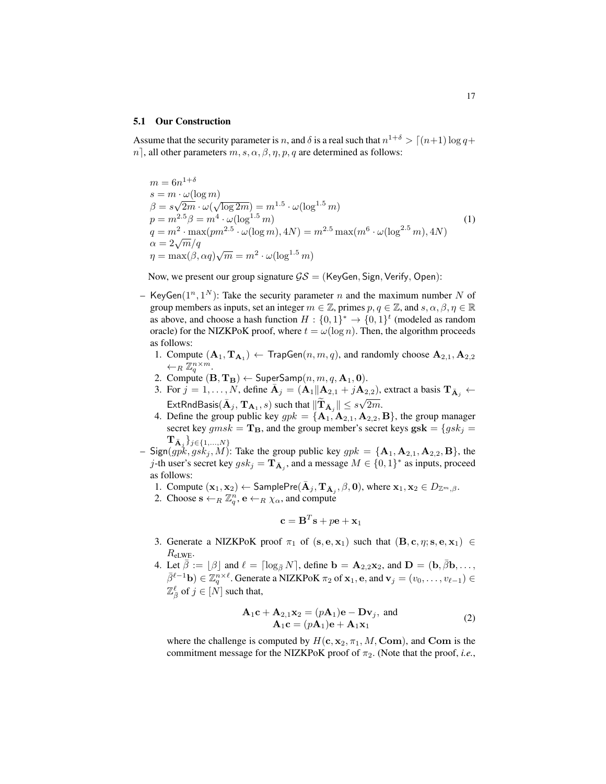#### 5.1 Our Construction

<span id="page-16-0"></span>Assume that the security parameter is n, and  $\delta$  is a real such that  $n^{1+\delta} > [(n+1) \log q +$ n, all other parameters  $m, s, \alpha, \beta, \eta, p, q$  are determined as follows:

$$
m = 6n^{1+\delta}
$$
  
\n
$$
s = m \cdot \omega(\log m)
$$
  
\n
$$
\beta = s\sqrt{2m} \cdot \omega(\sqrt{\log 2m}) = m^{1.5} \cdot \omega(\log^{1.5} m)
$$
  
\n
$$
p = m^{2.5}\beta = m^4 \cdot \omega(\log^{1.5} m)
$$
  
\n
$$
q = m^2 \cdot \max(p m^{2.5} \cdot \omega(\log m), 4N) = m^{2.5} \max(m^6 \cdot \omega(\log^{2.5} m), 4N)
$$
  
\n
$$
\alpha = 2\sqrt{m}/q
$$
  
\n
$$
\eta = \max(\beta, \alpha q)\sqrt{m} = m^2 \cdot \omega(\log^{1.5} m)
$$
\n(1)

Now, we present our group signature  $\mathcal{GS} =$  (KeyGen, Sign, Verify, Open):

- KeyGen $(1^n, 1^N)$ : Take the security parameter n and the maximum number N of group members as inputs, set an integer  $m \in \mathbb{Z}$ , primes  $p, q \in \mathbb{Z}$ , and  $s, \alpha, \beta, \eta \in \mathbb{R}$ as above, and choose a hash function  $H: \{0,1\}^* \to \{0,1\}^t$  (modeled as random oracle) for the NIZKPoK proof, where  $t = \omega(\log n)$ . Then, the algorithm proceeds as follows:
	- 1. Compute  $(A_1, T_{A_1}) \leftarrow$  TrapGen $(n, m, q)$ , and randomly choose  $A_{2,1}, A_{2,2}$  $\leftarrow_R \overline{\mathbb{Z}_q^{n \times m}}.$
	- 2. Compute  $(\mathbf{B}, \mathbf{T_B}) \leftarrow$  SuperSamp $(n, m, q, \mathbf{A}_1, \mathbf{0})$ .
	- 3. For  $j = 1, ..., N$ , define  $\overline{A}_{j} = (\overline{A}_{1}||\overline{A}_{2,1} + j\overline{A}_{2,2})$ , extract a basis  $T_{\overline{A}_{j}} \leftarrow$ ExtRndBasis( $\bar{\mathbf{A}}_j$ ,  $\mathbf{T}_{\mathbf{A}_1}$ , s) such that  $\|\widetilde{\mathbf{T}}_{\bar{\mathbf{A}}_j}\| \leq s\sqrt{2m}$ .
	- 4. Define the group public key  $ppk = {\mathbf{A}_1, \mathbf{A}_{2,1}, \mathbf{A}_{2,2}, \mathbf{B}}$ , the group manager secret key  $gmsk = T_B$ , and the group member's secret keys  $gsk = {gsk_j = q}$  $\{\mathbf{T}_{\bar{\mathbf{A}}_j}\}_{j\in\{1,...,N\}}$
- Sign( $gpk, gsk_j, M$ ): Take the group public key  $gpk = {\mathbf{A}_1, \mathbf{A}_{2,1}, \mathbf{A}_{2,2}, \mathbf{B}}$ , the j-th user's secret key  $gsk_j = \mathbf{T}_{\bar{\mathbf{A}}_j}$ , and a message  $M \in \{0,1\}^*$  as inputs, proceed as follows:
	- 1. Compute  $(\mathbf{x}_1, \mathbf{x}_2) \leftarrow$  SamplePre $(\overline{\mathbf{A}}_j, \mathbf{T}_{\overline{\mathbf{A}}_j}, \beta, \mathbf{0})$ , where  $\mathbf{x}_1, \mathbf{x}_2 \in D_{\mathbb{Z}^m, \beta}$ .
	- 2. Choose  $\mathbf{s} \leftarrow_R \mathbb{Z}_q^n, \mathbf{e} \leftarrow_R \chi_\alpha$ , and compute

$$
\mathbf{c} = \mathbf{B}^T \mathbf{s} + p\mathbf{e} + \mathbf{x}_1
$$

- 3. Generate a NIZKPoK proof  $\pi_1$  of  $(s, e, x_1)$  such that  $(B, c, \eta; s, e, x_1) \in$  $R_{\text{eLWE}}$ .
- <span id="page-16-1"></span>4. Let  $\bar{\beta} := [\beta]$  and  $\ell = [\log_{\bar{\beta}} N]$ , define  $\mathbf{b} = \mathbf{A}_{2,2}\mathbf{x}_2$ , and  $\mathbf{D} = (\mathbf{b}, \bar{\beta}\mathbf{b}, \dots, \bar{\beta}\mathbf{b})$  $\bar{\beta}^{\ell-1}$ b) ∈  $\mathbb{Z}_q^{n\times \ell}$ . Generate a NIZKPoK  $\pi_2$  of  $\mathbf{x}_1, \mathbf{e}$ , and  $\mathbf{v}_j = (v_0, \dots, v_{\ell-1}) \in$  $\mathbb{Z}_{\bar{\beta}}^{\ell}$  of  $j \in [\hat{N}]$  such that,

$$
\mathbf{A}_1 \mathbf{c} + \mathbf{A}_{2,1} \mathbf{x}_2 = (p\mathbf{A}_1)\mathbf{e} - \mathbf{D}\mathbf{v}_j, \text{ and} \n\mathbf{A}_1 \mathbf{c} = (p\mathbf{A}_1)\mathbf{e} + \mathbf{A}_1 \mathbf{x}_1
$$
\n(2)

where the challenge is computed by  $H(c, x_2, \pi_1, M, Com)$ , and Com is the commitment message for the NIZKPoK proof of  $\pi_2$ . (Note that the proof, *i.e.*,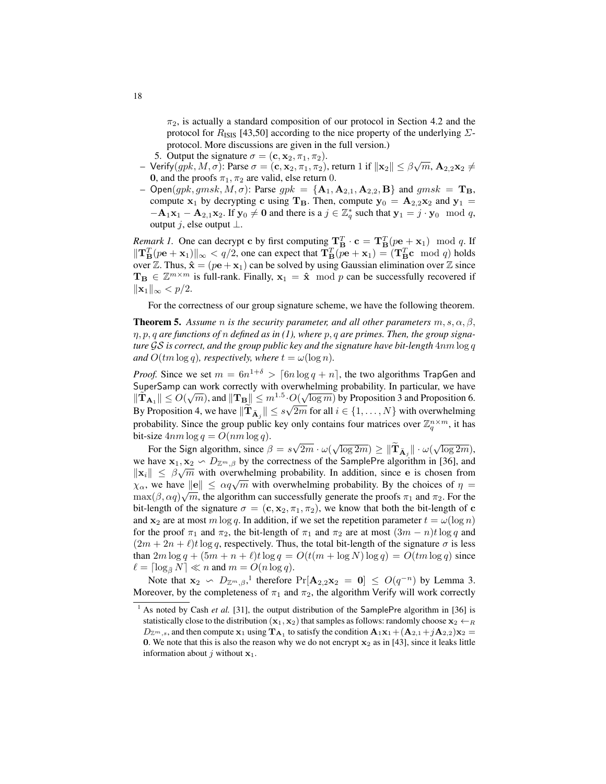$\pi_2$ , is actually a standard composition of our protocol in Section [4.2](#page-14-0) and the protocol for  $R_{\text{ISS}}$  [\[43](#page-22-12)[,50\]](#page-23-8) according to the nice property of the underlying  $\Sigma$ protocol. More discussions are given in the full version.)

- 5. Output the signature  $\sigma = (\mathbf{c}, \mathbf{x}_2, \pi_1, \pi_2)$ .
- 5. Output the signature  $\sigma = (c, x_2, \pi_1, \pi_2)$ .<br>
− Verify(*gpk*, *M*, *σ*): Parse  $\sigma = (c, x_2, \pi_1, \pi_2)$ , return 1 if  $||x_2|| \leq \beta \sqrt{m}$ , **A**<sub>2,2</sub>**x**<sub>2</sub> ≠ 0, and the proofs  $\pi_1, \pi_2$  are valid, else return 0.
- Open(gpk, gmsk, M,  $\sigma$ ): Parse gpk = { $A_1, A_{2,1}, A_{2,2}, B$ } and gmsk =  $T_B$ , compute  $x_1$  by decrypting c using  $T_B$ . Then, compute  $y_0 = A_{2,2}x_2$  and  $y_1 =$  $-{\bf A}_1{\bf x}_1 - {\bf A}_{2,1}{\bf x}_2$ . If  ${\bf y}_0 \neq {\bf 0}$  and there is a  $j \in \mathbb{Z}_q^*$  such that  ${\bf y}_1 = j \cdot {\bf y}_0 \mod q$ , output j, else output  $\perp$ .

*Remark 1.* One can decrypt c by first computing  $\mathbf{T}_{\mathbf{B}}^T \cdot \mathbf{c} = \mathbf{T}_{\mathbf{B}}^T (p \mathbf{e}_1 + \mathbf{x}_1) \mod q$ . If  $\|\mathbf{T}_{\mathbf{B}}^T(p\mathbf{e} + \mathbf{x}_1)\|_{\infty} < q/2$ , one can expect that  $\mathbf{T}_{\mathbf{B}}^T(p\mathbf{e} + \mathbf{x}_1) = (\mathbf{T}_{\mathbf{B}}^T \mathbf{c} \mod q)$  holds over Z. Thus,  $\hat{\mathbf{x}} = (p\mathbf{e} + \mathbf{x}_1)$  can be solved by using Gaussian elimination over Z since  $T_{\mathbf{B}} \in \mathbb{Z}^{m \times m}$  is full-rank. Finally,  $x_1 = \hat{x} \mod p$  can be successfully recovered if  $\|\mathbf{x}_1\|_{\infty} < p/2.$ 

For the correctness of our group signature scheme, we have the following theorem.

**Theorem 5.** Assume *n* is the security parameter, and all other parameters  $m, s, \alpha, \beta$ , η, p, q *are functions of* n *defined as in [\(1\)](#page-16-0), where* p, q *are primes. Then, the group signature* GS *is correct, and the group public key and the signature have bit-length* 4nm log q *and*  $O(tm \log q)$ *, respectively, where*  $t = \omega(\log n)$ *.* 

*Proof.* Since we set  $m = 6n^{1+\delta} > \lceil 6n \log q + n \rceil$ , the two algorithms TrapGen and SuperSamp can work correctly with overwhelming probability. In particular, we have  $\|\tilde{\mathbf{T}}_{\mathbf{A}_1}\| \le O(\sqrt{m})$ , and  $\|\mathbf{T}_{\mathbf{B}}\| \le m^{1.5} \cdot O(\sqrt{\log m})$  by Proposition [3](#page-10-1) and Proposition [6.](#page-10-2) By Proposition [4,](#page-10-0) we have  $\|\mathbf{T}_{\bar{\mathbf{A}}_j}\| \leq s\sqrt{2m}$  for all  $i \in \{1, ..., N\}$  with overwhelming probability. Since the group public key only contains four matrices over  $\mathbb{Z}_q^{n \times m}$ , it has bit-size  $4nm \log q = O(nm \log q)$ . √

For the Sign algorithm, since  $\beta = s$  $\overline{2m} \cdot \omega(\sqrt{\log 2m}) \geq \|\widetilde{\mathbf{T}}_{\bar{\mathbf{A}}_j}\| \cdot \omega(\sqrt{\log 2m}),$ we have  $\mathbf{x}_1, \mathbf{x}_2 \sim D_{\mathbb{Z}^m, \beta}$  by the correctness of the SamplePre algorithm in [\[36\]](#page-22-10), and  $\|\mathbf{x}_i\| \leq \beta \sqrt{m}$  with overwhelming probability. In addition, since e is chosen from  $\|\mathbf{x}_i\| \leq \rho \sqrt{m}$  with overwhelming probability. In addition, since e is chosen from<br> $\chi_\alpha$ , we have  $\|\mathbf{e}\| \leq \alpha q \sqrt{m}$  with overwhelming probability. By the choices of  $\eta =$  $\max(\beta, \alpha q) \sqrt{m}$ , the algorithm can successfully generate the proofs  $\pi_1$  and  $\pi_2$ . For the bit-length of the signature  $\sigma = (c, x_2, \pi_1, \pi_2)$ , we know that both the bit-length of c and  $x_2$  are at most m log q. In addition, if we set the repetition parameter  $t = \omega(\log n)$ for the proof  $\pi_1$  and  $\pi_2$ , the bit-length of  $\pi_1$  and  $\pi_2$  are at most  $(3m - n)t \log q$  and  $(2m + 2n + \ell)t \log q$ , respectively. Thus, the total bit-length of the signature  $\sigma$  is less than  $2m \log q + (5m + n + \ell)t \log q = O(t(m + \log N) \log q) = O(tm \log q)$  since  $\ell = \lceil \log_{\bar{\beta}} N \rceil \ll n$  and  $m = O(n \log q)$ .

Note that  $\mathbf{x}_2 \backsim D_{\mathbb{Z}^m, \beta}$ , therefore  $Pr[\mathbf{A}_{2,2}\mathbf{x}_2 = \mathbf{0}] \leq O(q^{-n})$  by Lemma [3.](#page-8-1) Moreover, by the completeness of  $\pi_1$  and  $\pi_2$ , the algorithm Verify will work correctly

<span id="page-17-0"></span><sup>&</sup>lt;sup>1</sup> As noted by Cash *et al.* [\[31\]](#page-22-14), the output distribution of the SamplePre algorithm in [\[36\]](#page-22-10) is statistically close to the distribution  $(x_1, x_2)$  that samples as follows: randomly choose  $x_2 \leftarrow_R$  $D_{\mathbb{Z}^m,s}$ , and then compute  $x_1$  using  $T_{A_1}$  to satisfy the condition  $A_1x_1+(A_{2,1}+jA_{2,2})x_2=$ 0. We note that this is also the reason why we do not encrypt  $x_2$  as in [\[43\]](#page-22-12), since it leaks little information about  $j$  without  $x_1$ .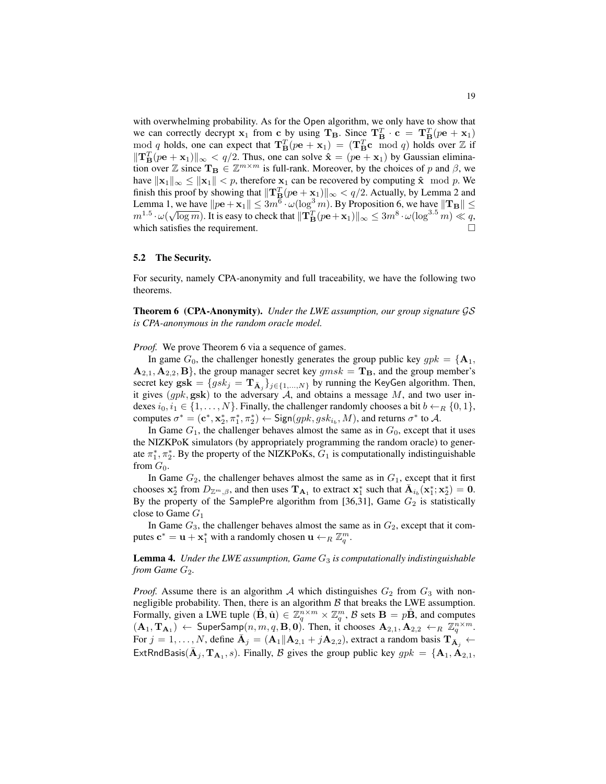with overwhelming probability. As for the Open algorithm, we only have to show that we can correctly decrypt  $x_1$  from c by using  $T_B$ . Since  $T_B^T \cdot c = T_B^T (p e + x_1)$ mod q holds, one can expect that  $T_B^T (p e + x_1) = (T_B^T c \mod q)$  holds over Z if  $\|\mathbf{T}_{\mathbf{B}}^T(p\mathbf{e}+\mathbf{x}_1)\|_{\infty} < q/2$ . Thus, one can solve  $\hat{\mathbf{x}} = (p\mathbf{e}+\mathbf{x}_1)$  by Gaussian elimination over Z since  $T_B \in \mathbb{Z}^{m \times m}$  is full-rank. Moreover, by the choices of p and  $\beta$ , we have  $\|\mathbf{x}_1\|_{\infty} \le \|\mathbf{x}_1\| < p$ , therefore  $\mathbf{x}_1$  can be recovered by computing  $\hat{\mathbf{x}}$  mod p. We finish this proof by showing that  $\|\mathbf{T}^T_{\mathbf{B}}(p\mathbf{e} + \mathbf{x}_1)\|_{\infty} < q/2$  $\|\mathbf{T}^T_{\mathbf{B}}(p\mathbf{e} + \mathbf{x}_1)\|_{\infty} < q/2$ . Actually, by Lemma 2 and Lemma [1,](#page-8-3) we have  $||p\mathbf{e} + \mathbf{x}_1|| \leq 3m^6 \cdot \omega(\log^3 m)$ . By Proposition [6,](#page-10-2) we have  $||\mathbf{T_B}|| \leq$  $m^{1.5}\cdot\omega(\sqrt{\log m})$ . It is easy to check that  $\|\mathbf{T}^{T}_{\mathbf{B}}(p\mathbf{e}+\mathbf{x}_1)\|_\infty\leq 3m^8\cdot\omega(\log^{3.5}m)\ll q,$ which satisfies the requirement.

#### 5.2 The Security.

For security, namely CPA-anonymity and full traceability, we have the following two theorems.

<span id="page-18-0"></span>Theorem 6 (CPA-Anonymity). *Under the LWE assumption, our group signature* GS *is CPA-anonymous in the random oracle model.*

*Proof.* We prove Theorem [6](#page-18-0) via a sequence of games.

In game  $G_0$ , the challenger honestly generates the group public key  $gpk = {\mathbf{A}_1, \mathbf{A}_2, \mathbf{A}_3, \mathbf{A}_4, \mathbf{A}_5, \mathbf{A}_6, \mathbf{A}_7, \mathbf{A}_8, \mathbf{A}_8, \mathbf{A}_9, \mathbf{A}_1, \mathbf{A}_2, \mathbf{A}_3, \mathbf{A}_4, \mathbf{A}_5, \mathbf{A}_7, \mathbf{A}_8, \mathbf{A}_9, \mathbf$  $\mathbf{A}_{2,1}, \mathbf{A}_{2,2}, \mathbf{B}$ , the group manager secret key  $gmsk = \mathbf{T}_B$ , and the group member's secret key  $g$ s $\mathbf{k} = \{gsk_j = \mathbf{T}_{\bar{\mathbf{A}}_j}\}_{j \in \{1,...,N\}}$  by running the KeyGen algorithm. Then, it gives  $(gpk, gsk)$  to the adversary A, and obtains a message M, and two user indexes  $i_0, i_1 \in \{1, ..., N\}$ . Finally, the challenger randomly chooses a bit  $b \leftarrow_R \{0, 1\}$ , computes  $\sigma^* = (\mathbf{c}^*, \mathbf{x}_2^*, \pi_1^*, \pi_2^*) \leftarrow \text{Sign}(gpk, gsk_{i_b}, M)$ , and returns  $\sigma^*$  to A.

In Game  $G_1$ , the challenger behaves almost the same as in  $G_0$ , except that it uses the NIZKPoK simulators (by appropriately programming the random oracle) to generate  $\pi_1^*$ ,  $\pi_2^*$ . By the property of the NIZKPoKs,  $G_1$  is computationally indistinguishable from  $G_0$ .

In Game  $G_2$ , the challenger behaves almost the same as in  $G_1$ , except that it first chooses  $x_2^*$  from  $D_{\mathbb{Z}^m,\beta}$ , and then uses  $\mathbf{T}_{\mathbf{A}_1}$  to extract  $x_1^*$  such that  $\bar{\mathbf{A}}_{i_b}(\mathbf{x}_1^*; \mathbf{x}_2^*) = \mathbf{0}$ . By the property of the SamplePre algorithm from [\[36](#page-22-10)[,31\]](#page-22-14), Game  $G_2$  is statistically close to Game  $G_1$ 

In Game  $G_3$ , the challenger behaves almost the same as in  $G_2$ , except that it computes  $\mathbf{c}^* = \mathbf{u} + \mathbf{x}_1^*$  with a randomly chosen  $\mathbf{u} \leftarrow_R \mathbb{Z}_q^m$ .

Lemma 4. *Under the LWE assumption, Game* G<sup>3</sup> *is computationally indistinguishable from Game*  $G_2$ *.* 

*Proof.* Assume there is an algorithm A which distinguishes  $G_2$  from  $G_3$  with nonnegligible probability. Then, there is an algorithm  $B$  that breaks the LWE assumption. Formally, given a LWE tuple  $(\hat{B}, \hat{u}) \in \mathbb{Z}_q^{n \times m} \times \mathbb{Z}_q^m$ ,  $\mathcal{B}$  sets  $B = p\hat{B}$ , and computes  $(A_1, T_{A_1}) \leftarrow$  SuperSamp $(n, m, q, B, 0)$ . Then, it chooses  $A_{2,1}, A_{2,2} \leftarrow_R \mathbb{Z}_q^{n \times m}$ . For  $j = 1, ..., N$ , define  $\bar{A}_j = (A_1 \| A_{2,1} + jA_{2,2})$ , extract a random basis  $T_{\bar{A}_j} \leftarrow$ ExtRndBasis( $\bar{\mathbf{A}}_j$ ,  $\mathbf{T}_{\mathbf{A}_1}$ , s). Finally,  $\beta$  gives the group public key  $gpk = {\mathbf{A}_1, \dot{A}_{2,1}},$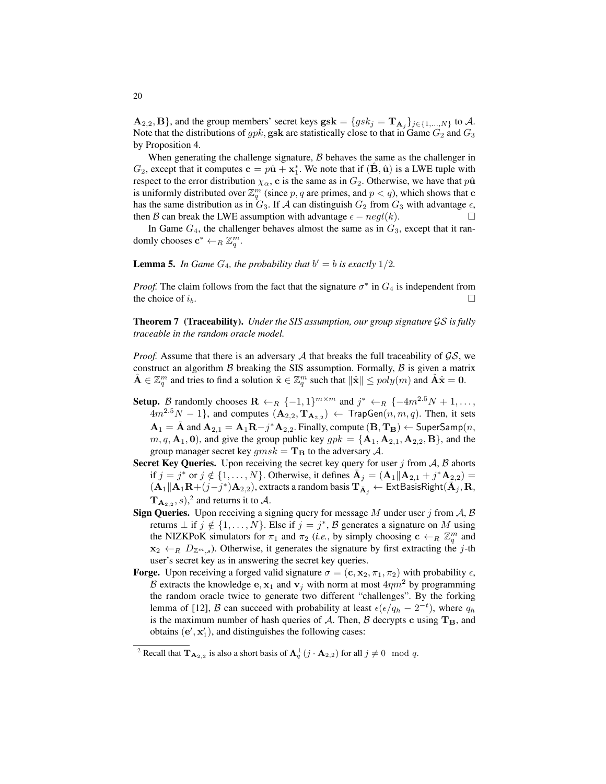$\mathbf{A}_{2,2}, \mathbf{B}$ }, and the group members' secret keys  $\mathbf{g} s\mathbf{k} = \{gsk_j = \mathbf{T}_{\bar{\mathbf{A}}_j}\}_{j\in\{1,...,N\}}$  to  $\mathcal{A}$ . Note that the distributions of  $gpk$ , gsk are statistically close to that in Game  $G_2$  and  $G_3$ by Proposition [4.](#page-10-0)

When generating the challenge signature,  $B$  behaves the same as the challenger in  $G_2$ , except that it computes  $\mathbf{c} = p\hat{\mathbf{u}} + \mathbf{x}_1^*$ . We note that if  $(\hat{\mathbf{B}}, \hat{\mathbf{u}})$  is a LWE tuple with respect to the error distribution  $\chi_{\alpha}$ , c is the same as in  $G_2$ . Otherwise, we have that  $p\hat{u}$ is uniformly distributed over  $\mathbb{Z}_q^m$  (since p, q are primes, and  $p < q$ ), which shows that c has the same distribution as in  $G_3$ . If A can distinguish  $G_2$  from  $G_3$  with advantage  $\epsilon$ , then B can break the LWE assumption with advantage  $\epsilon - negl(k)$ .

In Game  $G_4$ , the challenger behaves almost the same as in  $G_3$ , except that it randomly chooses  $\mathbf{c}^* \leftarrow_R \mathbb{Z}_q^m$ .

**Lemma 5.** In Game  $G_4$ , the probability that  $b' = b$  is exactly  $1/2$ .

*Proof.* The claim follows from the fact that the signature  $\sigma^*$  in  $G_4$  is independent from the choice of  $i_b$ .

Theorem 7 (Traceability). *Under the SIS assumption, our group signature* GS *is fully traceable in the random oracle model.*

*Proof.* Assume that there is an adversary  $A$  that breaks the full traceability of  $\mathcal{GS}$ , we construct an algorithm  $\beta$  breaking the SIS assumption. Formally,  $\beta$  is given a matrix  $\hat{\mathbf{A}} \in \mathbb{Z}_q^m$  and tries to find a solution  $\hat{\mathbf{x}} \in \mathbb{Z}_q^m$  such that  $\|\hat{\mathbf{x}}\| \leq poly(m)$  and  $\hat{\mathbf{A}}\hat{\mathbf{x}} = \mathbf{0}$ .

- **Setup.** B randomly chooses  $\mathbf{R} \leftarrow_R \{-1,1\}^{m \times m}$  and  $j^* \leftarrow_R \{-4m^{2.5}N+1,\ldots,$  $4m^{2.5}N-1$ }, and computes  $(\mathbf{A}_{2,2}, \mathbf{T}_{\mathbf{A}_{2,2}}) \leftarrow \mathsf{TrapGen}(n, m, q)$ . Then, it sets  $\mathbf{A}_1 = \hat{\mathbf{A}}$  and  $\mathbf{A}_{2,1} = \mathbf{A}_1 \mathbf{R} - j^* \mathbf{A}_{2,2}$ . Finally, compute  $(\mathbf{B}, \mathbf{T_B}) \leftarrow$  SuperSamp $(n,$  $m, q, \mathbf{A}_1, \mathbf{0}$ , and give the group public key  $gpk = {\mathbf{A}_1, \mathbf{A}_{2,1}, \mathbf{A}_{2,2}, \mathbf{B}}$ , and the group manager secret key  $qmsk = T_B$  to the adversary A.
- Secret Key Queries. Upon receiving the secret key query for user j from  $A$ ,  $B$  aborts if  $j = j^*$  or  $j \notin \{1, ..., N\}$ . Otherwise, it defines  $\overline{A}_j = (A_1 || A_{2,1} + j^* A_{2,2}) =$  $(\dot{\mathbf{A}}_1 \| \dot{\mathbf{A}}_1 \mathbf{R} + (j-j^*) \mathbf{A}_{2,2}),$  extracts a random basis  $\mathbf{T}_{\tilde{\mathbf{A}}_j} \leftarrow \textsf{ExtBasisRight}(\tilde{\mathbf{A}}_j, \mathbf{R},$  ${\bf T}_{{\bf A}_{2,2}}, s$  ${\bf T}_{{\bf A}_{2,2}}, s$  ${\bf T}_{{\bf A}_{2,2}}, s$ ,  $^2$  and returns it to  ${\cal A}$ .
- **Sign Queries.** Upon receiving a signing query for message M under user j from  $A$ ,  $B$ returns  $\perp$  if  $j \notin \{1, ..., N\}$ . Else if  $j = j^*$ ,  $\beta$  generates a signature on M using the NIZKPoK simulators for  $\pi_1$  and  $\pi_2$  (*i.e.*, by simply choosing  $\mathbf{c} \leftarrow_R \mathbb{Z}_q^m$  and  $x_2 \leftarrow_R D_{\mathbb{Z}^m,s}$ ). Otherwise, it generates the signature by first extracting the j-th user's secret key as in answering the secret key queries.
- **Forge.** Upon receiving a forged valid signature  $\sigma = (\mathbf{c}, \mathbf{x}_2, \pi_1, \pi_2)$  with probability  $\epsilon$ , B extracts the knowledge e,  $x_1$  and  $v_j$  with norm at most  $4\eta m^2$  by programming the random oracle twice to generate two different "challenges". By the forking lemma of [\[12\]](#page-21-17), B can succeed with probability at least  $\epsilon(\epsilon/q_h - 2^{-t})$ , where  $q_h$ is the maximum number of hash queries of A. Then, B decrypts c using  $T_B$ , and obtains  $(e', x'_1)$ , and distinguishes the following cases:

<span id="page-19-0"></span><sup>&</sup>lt;sup>2</sup> Recall that  $\mathbf{T}_{\mathbf{A}_{2,2}}$  is also a short basis of  $\mathbf{\Lambda}_q^{\perp}(j \cdot \mathbf{A}_{2,2})$  for all  $j \neq 0 \mod q$ .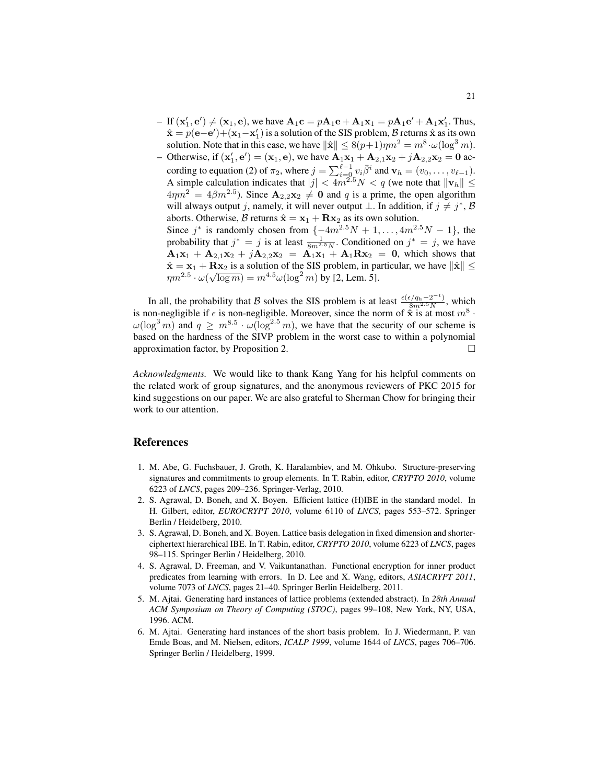- $-$  If  $(\mathbf{x}'_1, \mathbf{e}') \neq (\mathbf{x}_1, \mathbf{e})$ , we have  $\mathbf{A}_1 \mathbf{c} = p\mathbf{A}_1 \mathbf{e} + \mathbf{A}_1 \mathbf{x}_1 = p\mathbf{A}_1 \mathbf{e}' + \mathbf{A}_1 \mathbf{x}'_1$ . Thus,  $\hat{\mathbf{x}} = p(\mathbf{e} - \mathbf{e}') + (\mathbf{x}_1 - \mathbf{x}'_1)$  is a solution of the SIS problem, B returns  $\hat{\mathbf{x}}$  as its own solution. Note that in this case, we have  $\|\hat{\mathbf{x}}\| \leq 8(p+1)\eta m^2 = m^8 \cdot \omega(\log^3 m)$ .
- Otherwise, if  $({\bf x}'_1, {\bf e}') = ({\bf x}_1, {\bf e})$ , we have  ${\bf A}_1 {\bf x}_1 + {\bf A}_{2,1} {\bf x}_2 + j{\bf A}_{2,2} {\bf x}_2 = 0$  ac-1 cording to equation [\(2\)](#page-16-1) of  $\pi_2$ , where  $j = \sum_{i=0}^{\ell-1} v_i \overline{\beta}^i$  and  $\mathbf{v}_h = (v_0, \dots, v_{\ell-1})$ . A simple calculation indicates that  $|j| < 4m^{2.5}N < q$  (we note that  $\|\mathbf{v}_h\| \le$  $4\eta m^2 = 4\beta m^{2.5}$ ). Since  $\mathbf{A}_{2,2}\mathbf{x}_2 \neq \mathbf{0}$  and q is a prime, the open algorithm will always output j, namely, it will never output  $\bot$ . In addition, if  $j \neq j^*$ ,  $\mathcal{B}$ aborts. Otherwise, B returns  $\hat{\mathbf{x}} = \mathbf{x}_1 + \mathbf{R}\mathbf{x}_2$  as its own solution. Since  $j^*$  is randomly chosen from  $\{-4m^{2.5}N + 1, \ldots, 4m^{2.5}N - 1\}$ , the probability that  $j^* = j$  is at least  $\frac{1}{8m^2 \cdot 5N}$ . Conditioned on  $j^* = j$ , we have  $A_1x_1 + A_{2,1}x_2 + jA_{2,2}x_2 = A_1x_1 + A_1Rx_2 = 0$ , which shows that  $\hat{\mathbf{x}} = \mathbf{x}_1 + \mathbf{R}\mathbf{x}_2$  is a solution of the SIS problem, in particular, we have  $\|\hat{\mathbf{x}}\| \leq$  $\mathbf{x} = \mathbf{x}_1 + \mathbf{K}\mathbf{x}_2$  is a solution of the sits problem, in particular  $\eta m^{2.5} \cdot \omega(\sqrt{\log m}) = m^{4.5} \omega(\log^2 m)$  by [\[2,](#page-20-1) Lem. 5].

In all, the probability that B solves the SIS problem is at least  $\frac{\epsilon(\epsilon/q_h-2^{-t})}{8m^{2.5}N}$ , which is non-negligible if  $\epsilon$  is non-negligible. Moreover, since the norm of  $\hat{\mathbf{x}}$  is at most  $m^8$ .  $\omega(\log^3 m)$  and  $q \geq m^{8.5} \cdot \omega(\log^{2.5} m)$ , we have that the security of our scheme is based on the hardness of the SIVP problem in the worst case to within a polynomial approximation factor, by Proposition [2.](#page-9-0)

*Acknowledgments.* We would like to thank Kang Yang for his helpful comments on the related work of group signatures, and the anonymous reviewers of PKC 2015 for kind suggestions on our paper. We are also grateful to Sherman Chow for bringing their work to our attention.

# References

- <span id="page-20-0"></span>1. M. Abe, G. Fuchsbauer, J. Groth, K. Haralambiev, and M. Ohkubo. Structure-preserving signatures and commitments to group elements. In T. Rabin, editor, *CRYPTO 2010*, volume 6223 of *LNCS*, pages 209–236. Springer-Verlag, 2010.
- <span id="page-20-1"></span>2. S. Agrawal, D. Boneh, and X. Boyen. Efficient lattice (H)IBE in the standard model. In H. Gilbert, editor, *EUROCRYPT 2010*, volume 6110 of *LNCS*, pages 553–572. Springer Berlin / Heidelberg, 2010.
- <span id="page-20-3"></span>3. S. Agrawal, D. Boneh, and X. Boyen. Lattice basis delegation in fixed dimension and shorterciphertext hierarchical IBE. In T. Rabin, editor, *CRYPTO 2010*, volume 6223 of *LNCS*, pages 98–115. Springer Berlin / Heidelberg, 2010.
- <span id="page-20-2"></span>4. S. Agrawal, D. Freeman, and V. Vaikuntanathan. Functional encryption for inner product predicates from learning with errors. In D. Lee and X. Wang, editors, *ASIACRYPT 2011*, volume 7073 of *LNCS*, pages 21–40. Springer Berlin Heidelberg, 2011.
- <span id="page-20-4"></span>5. M. Ajtai. Generating hard instances of lattice problems (extended abstract). In *28th Annual ACM Symposium on Theory of Computing (STOC)*, pages 99–108, New York, NY, USA, 1996. ACM.
- <span id="page-20-5"></span>6. M. Ajtai. Generating hard instances of the short basis problem. In J. Wiedermann, P. van Emde Boas, and M. Nielsen, editors, *ICALP 1999*, volume 1644 of *LNCS*, pages 706–706. Springer Berlin / Heidelberg, 1999.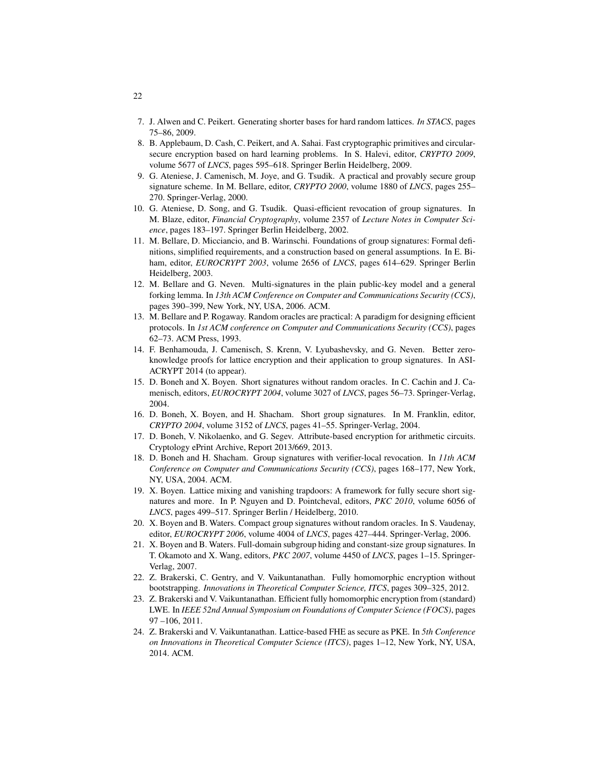- <span id="page-21-13"></span>7. J. Alwen and C. Peikert. Generating shorter bases for hard random lattices. *In STACS*, pages 75–86, 2009.
- <span id="page-21-12"></span>8. B. Applebaum, D. Cash, C. Peikert, and A. Sahai. Fast cryptographic primitives and circularsecure encryption based on hard learning problems. In S. Halevi, editor, *CRYPTO 2009*, volume 5677 of *LNCS*, pages 595–618. Springer Berlin Heidelberg, 2009.
- <span id="page-21-4"></span>9. G. Ateniese, J. Camenisch, M. Joye, and G. Tsudik. A practical and provably secure group signature scheme. In M. Bellare, editor, *CRYPTO 2000*, volume 1880 of *LNCS*, pages 255– 270. Springer-Verlag, 2000.
- <span id="page-21-11"></span>10. G. Ateniese, D. Song, and G. Tsudik. Quasi-efficient revocation of group signatures. In M. Blaze, editor, *Financial Cryptography*, volume 2357 of *Lecture Notes in Computer Science*, pages 183–197. Springer Berlin Heidelberg, 2002.
- <span id="page-21-0"></span>11. M. Bellare, D. Micciancio, and B. Warinschi. Foundations of group signatures: Formal definitions, simplified requirements, and a construction based on general assumptions. In E. Biham, editor, *EUROCRYPT 2003*, volume 2656 of *LNCS*, pages 614–629. Springer Berlin Heidelberg, 2003.
- <span id="page-21-17"></span>12. M. Bellare and G. Neven. Multi-signatures in the plain public-key model and a general forking lemma. In *13th ACM Conference on Computer and Communications Security (CCS)*, pages 390–399, New York, NY, USA, 2006. ACM.
- <span id="page-21-3"></span>13. M. Bellare and P. Rogaway. Random oracles are practical: A paradigm for designing efficient protocols. In *1st ACM conference on Computer and Communications Security (CCS)*, pages 62–73. ACM Press, 1993.
- <span id="page-21-9"></span>14. F. Benhamouda, J. Camenisch, S. Krenn, V. Lyubashevsky, and G. Neven. Better zeroknowledge proofs for lattice encryption and their application to group signatures. In ASI-ACRYPT 2014 (to appear).
- <span id="page-21-2"></span>15. D. Boneh and X. Boyen. Short signatures without random oracles. In C. Cachin and J. Camenisch, editors, *EUROCRYPT 2004*, volume 3027 of *LNCS*, pages 56–73. Springer-Verlag, 2004.
- <span id="page-21-1"></span>16. D. Boneh, X. Boyen, and H. Shacham. Short group signatures. In M. Franklin, editor, *CRYPTO 2004*, volume 3152 of *LNCS*, pages 41–55. Springer-Verlag, 2004.
- <span id="page-21-10"></span>17. D. Boneh, V. Nikolaenko, and G. Segev. Attribute-based encryption for arithmetic circuits. Cryptology ePrint Archive, Report 2013/669, 2013.
- <span id="page-21-8"></span>18. D. Boneh and H. Shacham. Group signatures with verifier-local revocation. In *11th ACM Conference on Computer and Communications Security (CCS)*, pages 168–177, New York, NY, USA, 2004. ACM.
- <span id="page-21-7"></span>19. X. Boyen. Lattice mixing and vanishing trapdoors: A framework for fully secure short signatures and more. In P. Nguyen and D. Pointcheval, editors, *PKC 2010*, volume 6056 of *LNCS*, pages 499–517. Springer Berlin / Heidelberg, 2010.
- <span id="page-21-5"></span>20. X. Boyen and B. Waters. Compact group signatures without random oracles. In S. Vaudenay, editor, *EUROCRYPT 2006*, volume 4004 of *LNCS*, pages 427–444. Springer-Verlag, 2006.
- <span id="page-21-6"></span>21. X. Boyen and B. Waters. Full-domain subgroup hiding and constant-size group signatures. In T. Okamoto and X. Wang, editors, *PKC 2007*, volume 4450 of *LNCS*, pages 1–15. Springer-Verlag, 2007.
- <span id="page-21-15"></span>22. Z. Brakerski, C. Gentry, and V. Vaikuntanathan. Fully homomorphic encryption without bootstrapping. *Innovations in Theoretical Computer Science, ITCS*, pages 309–325, 2012.
- <span id="page-21-14"></span>23. Z. Brakerski and V. Vaikuntanathan. Efficient fully homomorphic encryption from (standard) LWE. In *IEEE 52nd Annual Symposium on Foundations of Computer Science (FOCS)*, pages 97 –106, 2011.
- <span id="page-21-16"></span>24. Z. Brakerski and V. Vaikuntanathan. Lattice-based FHE as secure as PKE. In *5th Conference on Innovations in Theoretical Computer Science (ITCS)*, pages 1–12, New York, NY, USA, 2014. ACM.

22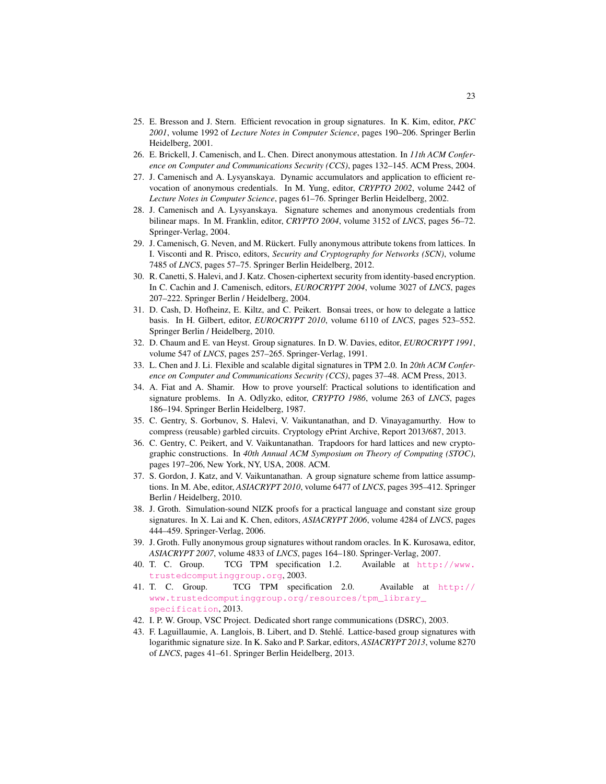- <span id="page-22-16"></span>25. E. Bresson and J. Stern. Efficient revocation in group signatures. In K. Kim, editor, *PKC 2001*, volume 1992 of *Lecture Notes in Computer Science*, pages 190–206. Springer Berlin Heidelberg, 2001.
- <span id="page-22-0"></span>26. E. Brickell, J. Camenisch, and L. Chen. Direct anonymous attestation. In *11th ACM Conference on Computer and Communications Security (CCS)*, pages 132–145. ACM Press, 2004.
- <span id="page-22-17"></span>27. J. Camenisch and A. Lysyanskaya. Dynamic accumulators and application to efficient revocation of anonymous credentials. In M. Yung, editor, *CRYPTO 2002*, volume 2442 of *Lecture Notes in Computer Science*, pages 61–76. Springer Berlin Heidelberg, 2002.
- <span id="page-22-6"></span>28. J. Camenisch and A. Lysyanskaya. Signature schemes and anonymous credentials from bilinear maps. In M. Franklin, editor, *CRYPTO 2004*, volume 3152 of *LNCS*, pages 56–72. Springer-Verlag, 2004.
- <span id="page-22-11"></span>29. J. Camenisch, G. Neven, and M. Rückert. Fully anonymous attribute tokens from lattices. In I. Visconti and R. Prisco, editors, *Security and Cryptography for Networks (SCN)*, volume 7485 of *LNCS*, pages 57–75. Springer Berlin Heidelberg, 2012.
- <span id="page-22-15"></span>30. R. Canetti, S. Halevi, and J. Katz. Chosen-ciphertext security from identity-based encryption. In C. Cachin and J. Camenisch, editors, *EUROCRYPT 2004*, volume 3027 of *LNCS*, pages 207–222. Springer Berlin / Heidelberg, 2004.
- <span id="page-22-14"></span>31. D. Cash, D. Hofheinz, E. Kiltz, and C. Peikert. Bonsai trees, or how to delegate a lattice basis. In H. Gilbert, editor, *EUROCRYPT 2010*, volume 6110 of *LNCS*, pages 523–552. Springer Berlin / Heidelberg, 2010.
- <span id="page-22-5"></span>32. D. Chaum and E. van Heyst. Group signatures. In D. W. Davies, editor, *EUROCRYPT 1991*, volume 547 of *LNCS*, pages 257–265. Springer-Verlag, 1991.
- <span id="page-22-1"></span>33. L. Chen and J. Li. Flexible and scalable digital signatures in TPM 2.0. In *20th ACM Conference on Computer and Communications Security (CCS)*, pages 37–48. ACM Press, 2013.
- <span id="page-22-18"></span>34. A. Fiat and A. Shamir. How to prove yourself: Practical solutions to identification and signature problems. In A. Odlyzko, editor, *CRYPTO 1986*, volume 263 of *LNCS*, pages 186–194. Springer Berlin Heidelberg, 1987.
- <span id="page-22-13"></span>35. C. Gentry, S. Gorbunov, S. Halevi, V. Vaikuntanathan, and D. Vinayagamurthy. How to compress (reusable) garbled circuits. Cryptology ePrint Archive, Report 2013/687, 2013.
- <span id="page-22-10"></span>36. C. Gentry, C. Peikert, and V. Vaikuntanathan. Trapdoors for hard lattices and new cryptographic constructions. In *40th Annual ACM Symposium on Theory of Computing (STOC)*, pages 197–206, New York, NY, USA, 2008. ACM.
- <span id="page-22-9"></span>37. S. Gordon, J. Katz, and V. Vaikuntanathan. A group signature scheme from lattice assumptions. In M. Abe, editor, *ASIACRYPT 2010*, volume 6477 of *LNCS*, pages 395–412. Springer Berlin / Heidelberg, 2010.
- <span id="page-22-7"></span>38. J. Groth. Simulation-sound NIZK proofs for a practical language and constant size group signatures. In X. Lai and K. Chen, editors, *ASIACRYPT 2006*, volume 4284 of *LNCS*, pages 444–459. Springer-Verlag, 2006.
- <span id="page-22-8"></span>39. J. Groth. Fully anonymous group signatures without random oracles. In K. Kurosawa, editor, *ASIACRYPT 2007*, volume 4833 of *LNCS*, pages 164–180. Springer-Verlag, 2007.
- <span id="page-22-2"></span>40. T. C. Group. TCG TPM specification 1.2. Available at [http://www.](http://www.trustedcomputinggroup.org) [trustedcomputinggroup.org](http://www.trustedcomputinggroup.org), 2003.
- <span id="page-22-3"></span>41. T. C. Group. TCG TPM specification 2.0. Available at [http://](http://www.trustedcomputinggroup.org/resources/tpm_library_specification) [www.trustedcomputinggroup.org/resources/tpm\\_library\\_](http://www.trustedcomputinggroup.org/resources/tpm_library_specification) [specification](http://www.trustedcomputinggroup.org/resources/tpm_library_specification), 2013.
- <span id="page-22-4"></span>42. I. P. W. Group, VSC Project. Dedicated short range communications (DSRC), 2003.
- <span id="page-22-12"></span>43. F. Laguillaumie, A. Langlois, B. Libert, and D. Stehle. Lattice-based group signatures with ´ logarithmic signature size. In K. Sako and P. Sarkar, editors, *ASIACRYPT 2013*, volume 8270 of *LNCS*, pages 41–61. Springer Berlin Heidelberg, 2013.